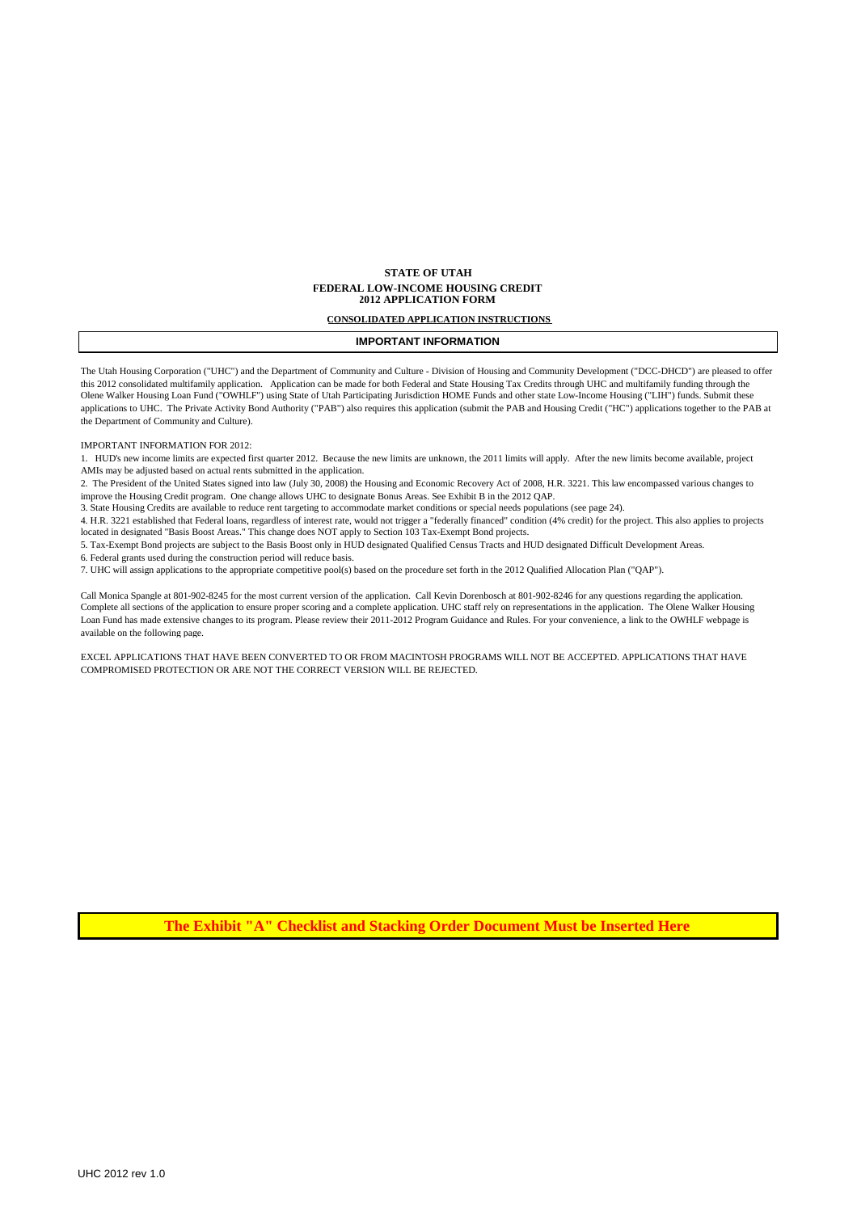### **STATE OF UTAH FEDERAL LOW-INCOME HOUSING CREDIT 2012 APPLICATION FORM**

#### **CONSOLIDATED APPLICATION INSTRUCTIONS**

### **IMPORTANT INFORMATION**

The Utah Housing Corporation ("UHC") and the Department of Community and Culture - Division of Housing and Community Development ("DCC-DHCD") are pleased to offer this 2012 consolidated multifamily application. Application can be made for both Federal and State Housing Tax Credits through UHC and multifamily funding through the Olene Walker Housing Loan Fund ("OWHLF") using State of Utah Participating Jurisdiction HOME Funds and other state Low-Income Housing ("LIH") funds. Submit these applications to UHC. The Private Activity Bond Authority ("PAB") also requires this application (submit the PAB and Housing Credit ("HC") applications together to the PAB at the Department of Community and Culture).

### IMPORTANT INFORMATION FOR 2012:

1. HUD's new income limits are expected first quarter 2012. Because the new limits are unknown, the 2011 limits will apply. After the new limits become available, project AMIs may be adjusted based on actual rents submitted in the application.

2. The President of the United States signed into law (July 30, 2008) the Housing and Economic Recovery Act of 2008, H.R. 3221. This law encompassed various changes to improve the Housing Credit program. One change allows UHC to designate Bonus Areas. See Exhibit B in the 2012 QAP.

3. State Housing Credits are available to reduce rent targeting to accommodate market conditions or special needs populations (see page 24).

4. H.R. 3221 established that Federal loans, regardless of interest rate, would not trigger a "federally financed" condition (4% credit) for the project. This also applies to projects located in designated "Basis Boost Areas." This change does NOT apply to Section 103 Tax-Exempt Bond projects.

5. Tax-Exempt Bond projects are subject to the Basis Boost only in HUD designated Qualified Census Tracts and HUD designated Difficult Development Areas.

6. Federal grants used during the construction period will reduce basis.

7. UHC will assign applications to the appropriate competitive pool(s) based on the procedure set forth in the 2012 Qualified Allocation Plan ("QAP").

Call Monica Spangle at 801-902-8245 for the most current version of the application. Call Kevin Dorenbosch at 801-902-8246 for any questions regarding the application. Complete all sections of the application to ensure proper scoring and a complete application. UHC staff rely on representations in the application. The Olene Walker Housing Loan Fund has made extensive changes to its program. Please review their 2011-2012 Program Guidance and Rules. For your convenience, a link to the OWHLF webpage is available on the following page.

EXCEL APPLICATIONS THAT HAVE BEEN CONVERTED TO OR FROM MACINTOSH PROGRAMS WILL NOT BE ACCEPTED. APPLICATIONS THAT HAVE COMPROMISED PROTECTION OR ARE NOT THE CORRECT VERSION WILL BE REJECTED.

**The Exhibit "A" Checklist and Stacking Order Document Must be Inserted Here**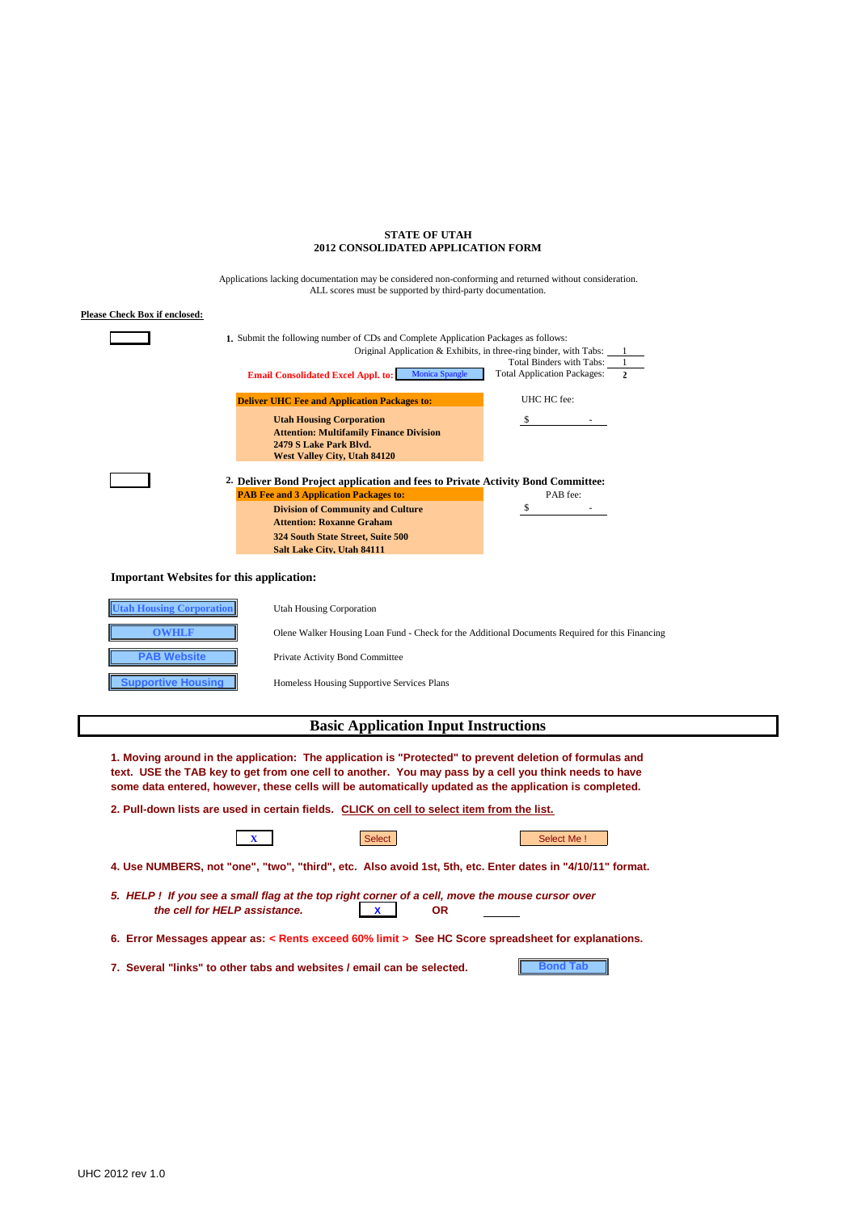### **STATE OF UTAH 2012 CONSOLIDATED APPLICATION FORM**

ALL scores must be supported by third-party documentation. Applications lacking documentation may be considered non-conforming and returned without consideration.

| <b>Please Check Box if enclosed:</b>                                                                                                                                                                                                                |  |
|-----------------------------------------------------------------------------------------------------------------------------------------------------------------------------------------------------------------------------------------------------|--|
| 1. Submit the following number of CDs and Complete Application Packages as follows:<br>Original Application & Exhibits, in three-ring binder, with Tabs:<br>Total Binders with Tabs:<br><b>Monica Spangle</b><br><b>Total Application Packages:</b> |  |
| <b>Email Consolidated Excel Appl. to:</b>                                                                                                                                                                                                           |  |
| UHC HC fee:<br><b>Deliver UHC Fee and Application Packages to:</b>                                                                                                                                                                                  |  |
| <b>Utah Housing Corporation</b><br>S                                                                                                                                                                                                                |  |
| <b>Attention: Multifamily Finance Division</b>                                                                                                                                                                                                      |  |
| 2479 S Lake Park Blvd.<br>West Valley City, Utah 84120                                                                                                                                                                                              |  |
|                                                                                                                                                                                                                                                     |  |
| 2. Deliver Bond Project application and fees to Private Activity Bond Committee:                                                                                                                                                                    |  |
| <b>PAB Fee and 3 Application Packages to:</b><br>PAB fee:                                                                                                                                                                                           |  |
| \$<br><b>Division of Community and Culture</b><br><b>Attention: Roxanne Graham</b>                                                                                                                                                                  |  |
| 324 South State Street, Suite 500                                                                                                                                                                                                                   |  |
| Salt Lake City, Utah 84111                                                                                                                                                                                                                          |  |
|                                                                                                                                                                                                                                                     |  |
| <b>Important Websites for this application:</b>                                                                                                                                                                                                     |  |
| <b>Utah Housing Corporation</b><br><b>Utah Housing Corporation</b>                                                                                                                                                                                  |  |
| <b>OWHLF</b><br>Olene Walker Housing Loan Fund - Check for the Additional Documents Required for this Financing                                                                                                                                     |  |
| <b>PAB Website</b><br>Private Activity Bond Committee                                                                                                                                                                                               |  |
| <b>Supportive Housing</b><br>Homeless Housing Supportive Services Plans                                                                                                                                                                             |  |
| <b>Basic Application Input Instructions</b>                                                                                                                                                                                                         |  |

**1. Moving around in the application: The application is "Protected" to prevent deletion of formulas and text. USE the TAB key to get from one cell to another. You may pass by a cell you think needs to have some data entered, however, these cells will be automatically updated as the application is completed.**

| 2. Pull-down lists are used in certain fields. CLICK on cell to select item from the list.                                      |               |            |  |  |  |  |
|---------------------------------------------------------------------------------------------------------------------------------|---------------|------------|--|--|--|--|
|                                                                                                                                 | <b>Select</b> | Select Me! |  |  |  |  |
| 4. Use NUMBERS, not "one", "two", "third", etc. Also avoid 1st, 5th, etc. Enter dates in "4/10/11" format.                      |               |            |  |  |  |  |
| 5. HELP! If you see a small flag at the top right corner of a cell, move the mouse cursor over<br>the cell for HELP assistance. | <b>OR</b>     |            |  |  |  |  |
| 6. Error Messages appear as: $\lt$ Rents exceed 60% limit $>$ See HC Score spreadsheet for explanations.                        |               |            |  |  |  |  |
| 7. Several "links" to other tabs and websites / email can be selected.                                                          |               |            |  |  |  |  |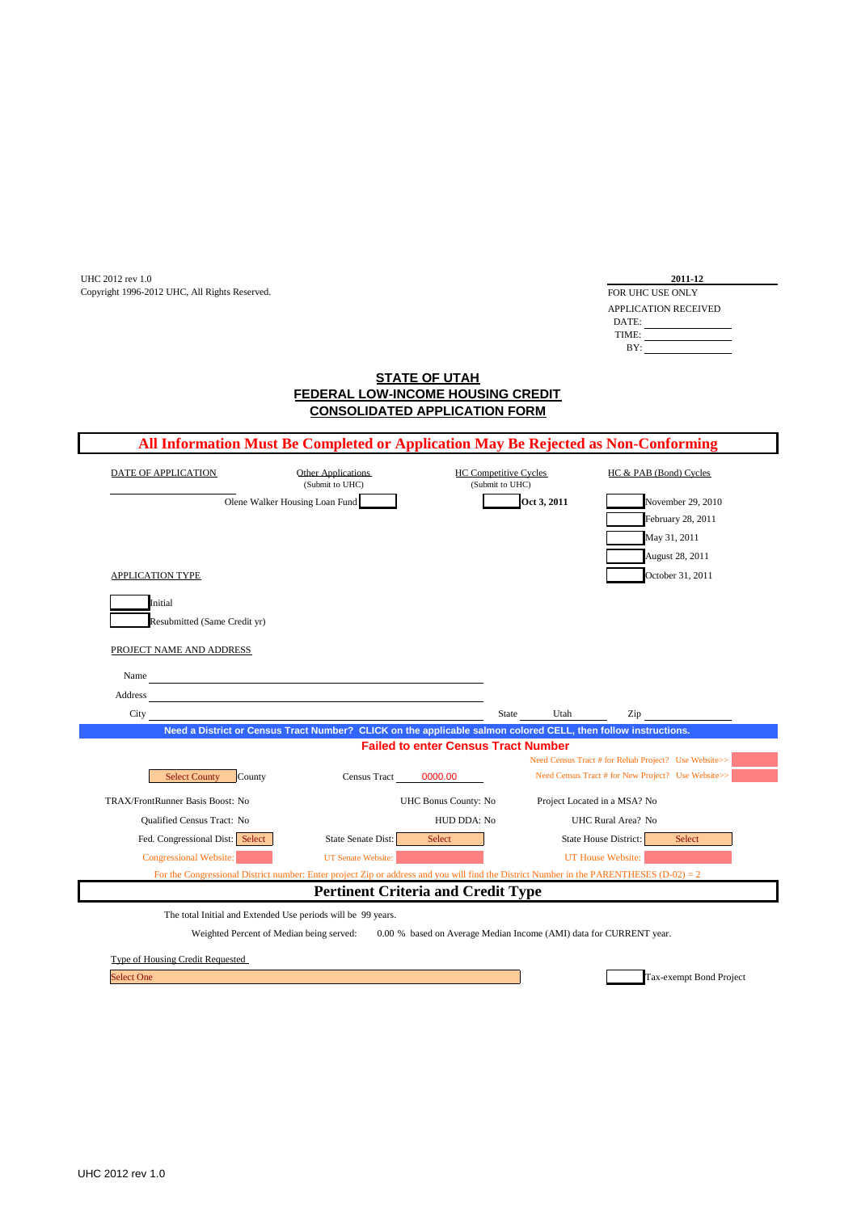UHC 2012 rev 1.0<br>
Copyright 1996-2012 UHC, All Rights Reserved. Copyright 1996-2012 UHC, All Rights Reserved.

| 2011-12              |  |
|----------------------|--|
| FOR UHC USE ONLY     |  |
| APPLICATION RECEIVED |  |
| DATE:                |  |
| TIME:                |  |
| RY.                  |  |

## **FEDERAL LOW-INCOME HOUSING CREDIT STATE OF UTAH CONSOLIDATED APPLICATION FORM**

|                                  | All Information Must Be Completed or Application May Be Rejected as Non-Conforming                                                        |                                                                    |             |                                                      |
|----------------------------------|-------------------------------------------------------------------------------------------------------------------------------------------|--------------------------------------------------------------------|-------------|------------------------------------------------------|
| DATE OF APPLICATION              | Other Applications<br>(Submit to UHC)                                                                                                     | <b>HC Competitive Cycles</b><br>(Submit to UHC)                    |             | HC & PAB (Bond) Cycles                               |
|                                  | Olene Walker Housing Loan Fund                                                                                                            |                                                                    | Oct 3, 2011 | November 29, 2010                                    |
|                                  |                                                                                                                                           |                                                                    |             | February 28, 2011                                    |
|                                  |                                                                                                                                           |                                                                    |             | May 31, 2011                                         |
|                                  |                                                                                                                                           |                                                                    |             | August 28, 2011                                      |
| APPLICATION TYPE                 |                                                                                                                                           |                                                                    |             | October 31, 2011                                     |
|                                  |                                                                                                                                           |                                                                    |             |                                                      |
| Initial                          |                                                                                                                                           |                                                                    |             |                                                      |
| Resubmitted (Same Credit yr)     |                                                                                                                                           |                                                                    |             |                                                      |
| PROJECT NAME AND ADDRESS         |                                                                                                                                           |                                                                    |             |                                                      |
| Name                             |                                                                                                                                           |                                                                    |             |                                                      |
|                                  | <u> 1980 - Johann Barn, mars an t-Amerikaansk ferskeizh (</u>                                                                             |                                                                    |             |                                                      |
| Address<br>City                  |                                                                                                                                           | State                                                              | Utah        | Zip                                                  |
|                                  | Need a District or Census Tract Number? CLICK on the applicable salmon colored CELL, then follow instructions.                            |                                                                    |             |                                                      |
|                                  |                                                                                                                                           | <b>Failed to enter Census Tract Number</b>                         |             |                                                      |
|                                  |                                                                                                                                           |                                                                    |             | Need Census Tract # for Rehab Project? Use Website>> |
| <b>Select County</b><br>County   | Census Tract                                                                                                                              | 0000.00                                                            |             | Need Census Tract # for New Project? Use Website>>   |
| TRAX/FrontRunner Basis Boost: No |                                                                                                                                           | UHC Bonus County: No                                               |             | Project Located in a MSA? No                         |
| Qualified Census Tract: No       |                                                                                                                                           | HUD DDA: No                                                        |             | UHC Rural Area? No                                   |
| Fed. Congressional Dist: Select  | State Senate Dist:                                                                                                                        | Select                                                             |             | State House District:<br>Select                      |
| Congressional Website:           | <b>UT</b> Senate Website:                                                                                                                 |                                                                    |             | UT House Website:                                    |
|                                  | For the Congressional District number: Enter project Zip or address and you will find the District Number in the PARENTHESES (D-02) = $2$ |                                                                    |             |                                                      |
|                                  | <b>Pertinent Criteria and Credit Type</b>                                                                                                 |                                                                    |             |                                                      |
|                                  | The total Initial and Extended Use periods will be 99 years.                                                                              |                                                                    |             |                                                      |
|                                  | Weighted Percent of Median being served:                                                                                                  | 0.00 % based on Average Median Income (AMI) data for CURRENT year. |             |                                                      |
|                                  |                                                                                                                                           |                                                                    |             |                                                      |
| Type of Housing Credit Requested |                                                                                                                                           |                                                                    |             |                                                      |

Tax-exempt Bond Project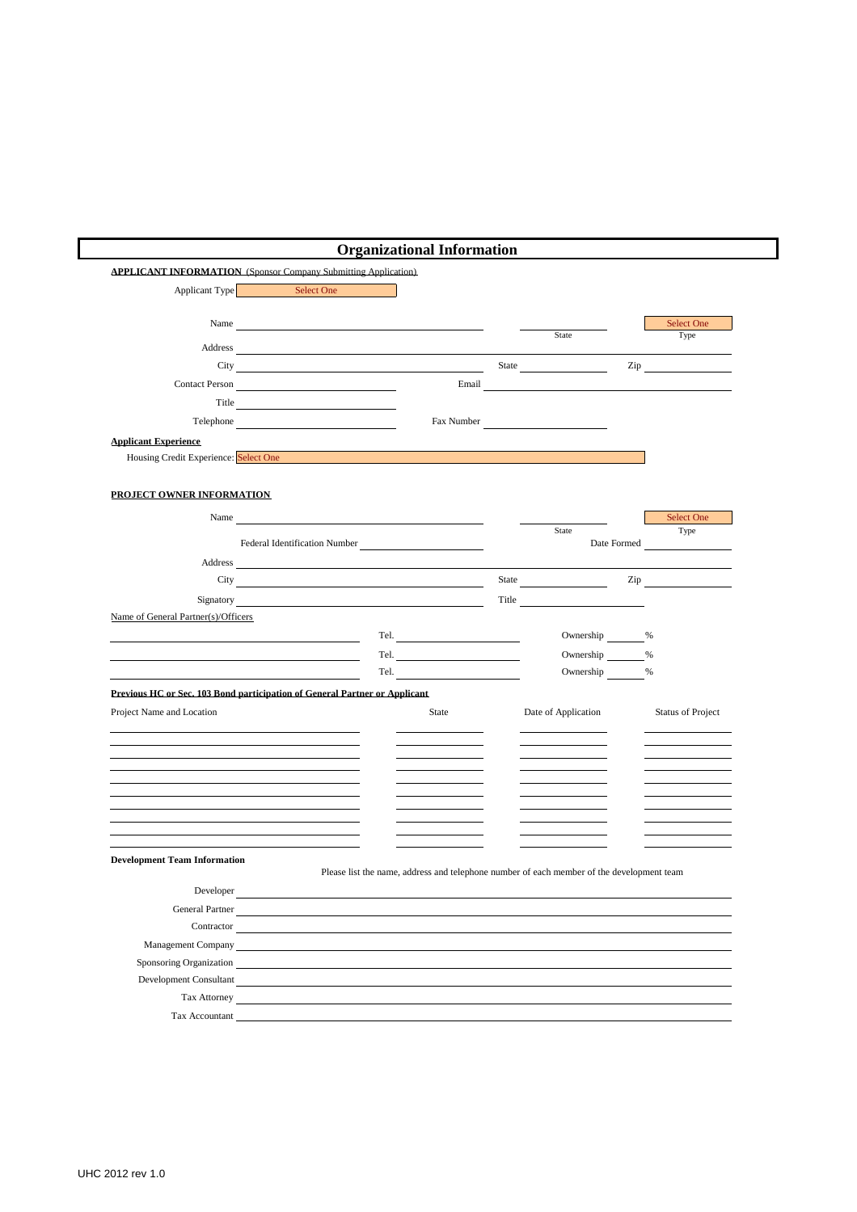|                                       | <b>APPLICANT INFORMATION</b> (Sponsor Company Submitting Application)                                                                                                                                                                |       |                                                                                           |                                                                                                                |
|---------------------------------------|--------------------------------------------------------------------------------------------------------------------------------------------------------------------------------------------------------------------------------------|-------|-------------------------------------------------------------------------------------------|----------------------------------------------------------------------------------------------------------------|
| Applicant Type                        | Select One                                                                                                                                                                                                                           |       |                                                                                           |                                                                                                                |
|                                       |                                                                                                                                                                                                                                      |       |                                                                                           |                                                                                                                |
|                                       | Name and the contract of the contract of the contract of the contract of the contract of the contract of the contract of the contract of the contract of the contract of the contract of the contract of the contract of the c       |       |                                                                                           | Select One                                                                                                     |
|                                       | Address and the contract of the contract of the contract of the contract of the contract of the contract of the contract of the contract of the contract of the contract of the contract of the contract of the contract of th       |       | State                                                                                     | Type                                                                                                           |
|                                       | City <u>and the contract of the contract of the contract of the contract of the contract of the contract of the contract of the contract of the contract of the contract of the contract of the contract of the contract of the </u> |       |                                                                                           | $\mathsf{Zip}$                                                                                                 |
|                                       | Contact Person                                                                                                                                                                                                                       | Email |                                                                                           |                                                                                                                |
|                                       |                                                                                                                                                                                                                                      |       |                                                                                           |                                                                                                                |
|                                       | Telephone                                                                                                                                                                                                                            |       | Fax Number                                                                                |                                                                                                                |
| <b>Applicant Experience</b>           |                                                                                                                                                                                                                                      |       |                                                                                           |                                                                                                                |
| Housing Credit Experience: Select One |                                                                                                                                                                                                                                      |       |                                                                                           |                                                                                                                |
|                                       |                                                                                                                                                                                                                                      |       |                                                                                           |                                                                                                                |
| PROJECT OWNER INFORMATION             |                                                                                                                                                                                                                                      |       |                                                                                           |                                                                                                                |
|                                       |                                                                                                                                                                                                                                      |       |                                                                                           |                                                                                                                |
|                                       | Name and the contract of the contract of the contract of the contract of the contract of the contract of the contract of the contract of the contract of the contract of the contract of the contract of the contract of the c       |       | State                                                                                     | Select One<br>Type                                                                                             |
|                                       | Federal Identification Number                                                                                                                                                                                                        |       |                                                                                           | Date Formed                                                                                                    |
|                                       |                                                                                                                                                                                                                                      |       |                                                                                           |                                                                                                                |
|                                       |                                                                                                                                                                                                                                      |       | State <u>______</u>                                                                       | Zip and the state of the state of the state of the state of the state of the state of the state of the state o |
|                                       | Signatory and the state of the state of the state of the state of the state of the state of the state of the state of the state of the state of the state of the state of the state of the state of the state of the state of        |       | Title                                                                                     |                                                                                                                |
| Name of General Partner(s)/Officers   |                                                                                                                                                                                                                                      |       |                                                                                           |                                                                                                                |
|                                       |                                                                                                                                                                                                                                      |       | Ownership %                                                                               |                                                                                                                |
|                                       |                                                                                                                                                                                                                                      | Tel.  | Ownership %                                                                               |                                                                                                                |
|                                       |                                                                                                                                                                                                                                      | Tel.  | Ownership %                                                                               |                                                                                                                |
|                                       | Previous HC or Sec. 103 Bond participation of General Partner or Applicant                                                                                                                                                           |       |                                                                                           |                                                                                                                |
| Project Name and Location             |                                                                                                                                                                                                                                      | State | Date of Application                                                                       | <b>Status of Project</b>                                                                                       |
|                                       |                                                                                                                                                                                                                                      |       |                                                                                           |                                                                                                                |
|                                       |                                                                                                                                                                                                                                      |       |                                                                                           |                                                                                                                |
|                                       |                                                                                                                                                                                                                                      |       |                                                                                           |                                                                                                                |
|                                       |                                                                                                                                                                                                                                      |       |                                                                                           |                                                                                                                |
|                                       |                                                                                                                                                                                                                                      |       |                                                                                           |                                                                                                                |
|                                       |                                                                                                                                                                                                                                      |       |                                                                                           |                                                                                                                |
|                                       |                                                                                                                                                                                                                                      |       |                                                                                           |                                                                                                                |
| <b>Development Team Information</b>   |                                                                                                                                                                                                                                      |       |                                                                                           |                                                                                                                |
|                                       |                                                                                                                                                                                                                                      |       | Please list the name, address and telephone number of each member of the development team |                                                                                                                |
| Developer                             |                                                                                                                                                                                                                                      |       |                                                                                           |                                                                                                                |
| General Partner                       |                                                                                                                                                                                                                                      |       |                                                                                           |                                                                                                                |
| Contractor                            |                                                                                                                                                                                                                                      |       |                                                                                           |                                                                                                                |
|                                       | <b>Management Company</b>                                                                                                                                                                                                            |       |                                                                                           |                                                                                                                |
|                                       |                                                                                                                                                                                                                                      |       |                                                                                           |                                                                                                                |
| Sponsoring Organization               |                                                                                                                                                                                                                                      |       |                                                                                           |                                                                                                                |
|                                       | Development Consultant                                                                                                                                                                                                               |       |                                                                                           |                                                                                                                |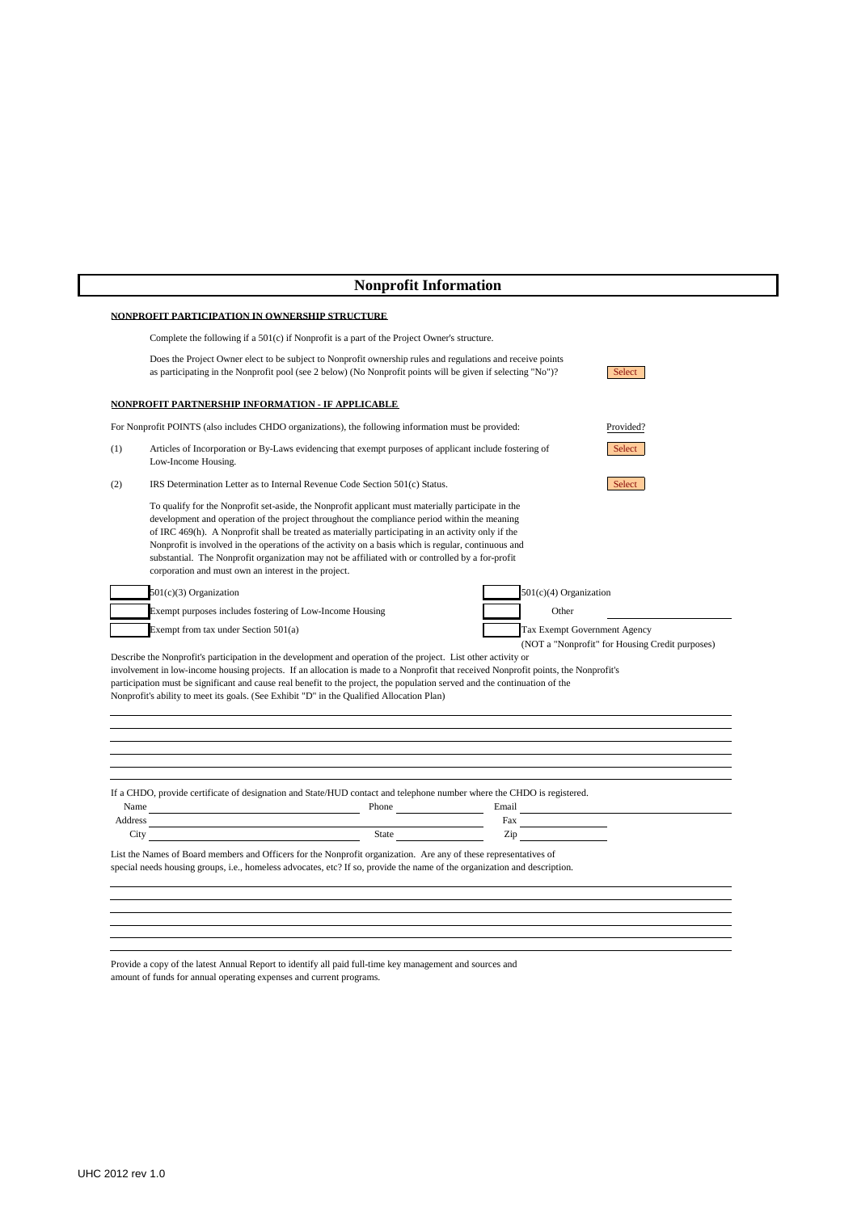# **Nonprofit Information**

## **NONPROFIT PARTICIPATION IN OWNERSHIP STRUCTURE**

|     | Complete the following if a 501(c) if Nonprofit is a part of the Project Owner's structure.                                                                                                                                                                                                                                                                                                                                                                                                                                                                                 |  |                                      |                                                 |
|-----|-----------------------------------------------------------------------------------------------------------------------------------------------------------------------------------------------------------------------------------------------------------------------------------------------------------------------------------------------------------------------------------------------------------------------------------------------------------------------------------------------------------------------------------------------------------------------------|--|--------------------------------------|-------------------------------------------------|
|     | Does the Project Owner elect to be subject to Nonprofit ownership rules and regulations and receive points<br>as participating in the Nonprofit pool (see 2 below) (No Nonprofit points will be given if selecting "No")?                                                                                                                                                                                                                                                                                                                                                   |  |                                      | Select                                          |
|     | NONPROFIT PARTNERSHIP INFORMATION - IF APPLICABLE                                                                                                                                                                                                                                                                                                                                                                                                                                                                                                                           |  |                                      |                                                 |
|     | For Nonprofit POINTS (also includes CHDO organizations), the following information must be provided:                                                                                                                                                                                                                                                                                                                                                                                                                                                                        |  |                                      | Provided?                                       |
| (1) | Articles of Incorporation or By-Laws evidencing that exempt purposes of applicant include fostering of<br>Low-Income Housing.                                                                                                                                                                                                                                                                                                                                                                                                                                               |  |                                      | Select                                          |
| (2) | IRS Determination Letter as to Internal Revenue Code Section 501(c) Status.                                                                                                                                                                                                                                                                                                                                                                                                                                                                                                 |  |                                      | Select                                          |
|     | To qualify for the Nonprofit set-aside, the Nonprofit applicant must materially participate in the<br>development and operation of the project throughout the compliance period within the meaning<br>of IRC 469(h). A Nonprofit shall be treated as materially participating in an activity only if the<br>Nonprofit is involved in the operations of the activity on a basis which is regular, continuous and<br>substantial. The Nonprofit organization may not be affiliated with or controlled by a for-profit<br>corporation and must own an interest in the project. |  |                                      |                                                 |
|     | 501(c)(3) Organization                                                                                                                                                                                                                                                                                                                                                                                                                                                                                                                                                      |  | $501(c)(4)$ Organization             |                                                 |
|     | Exempt purposes includes fostering of Low-Income Housing                                                                                                                                                                                                                                                                                                                                                                                                                                                                                                                    |  | Other                                |                                                 |
|     | Exempt from tax under Section 501(a)                                                                                                                                                                                                                                                                                                                                                                                                                                                                                                                                        |  | Tax Exempt Government Agency         | (NOT a "Nonprofit" for Housing Credit purposes) |
|     | Describe the Nonprofit's participation in the development and operation of the project. List other activity or<br>involvement in low-income housing projects. If an allocation is made to a Nonprofit that received Nonprofit points, the Nonprofit's<br>participation must be significant and cause real benefit to the project, the population served and the continuation of the<br>Nonprofit's ability to meet its goals. (See Exhibit "D" in the Qualified Allocation Plan)                                                                                            |  |                                      |                                                 |
|     |                                                                                                                                                                                                                                                                                                                                                                                                                                                                                                                                                                             |  |                                      |                                                 |
|     | If a CHDO, provide certificate of designation and State/HUD contact and telephone number where the CHDO is registered.                                                                                                                                                                                                                                                                                                                                                                                                                                                      |  |                                      |                                                 |
|     | Address City State State State State State State State State State State State State State State State State State State State State State State State State State State State State State State State State State State State                                                                                                                                                                                                                                                                                                                                              |  | $\mbox{ Fax}$ $\qquad \qquad$<br>Zip |                                                 |

Provide a copy of the latest Annual Report to identify all paid full-time key management and sources and amount of funds for annual operating expenses and current programs.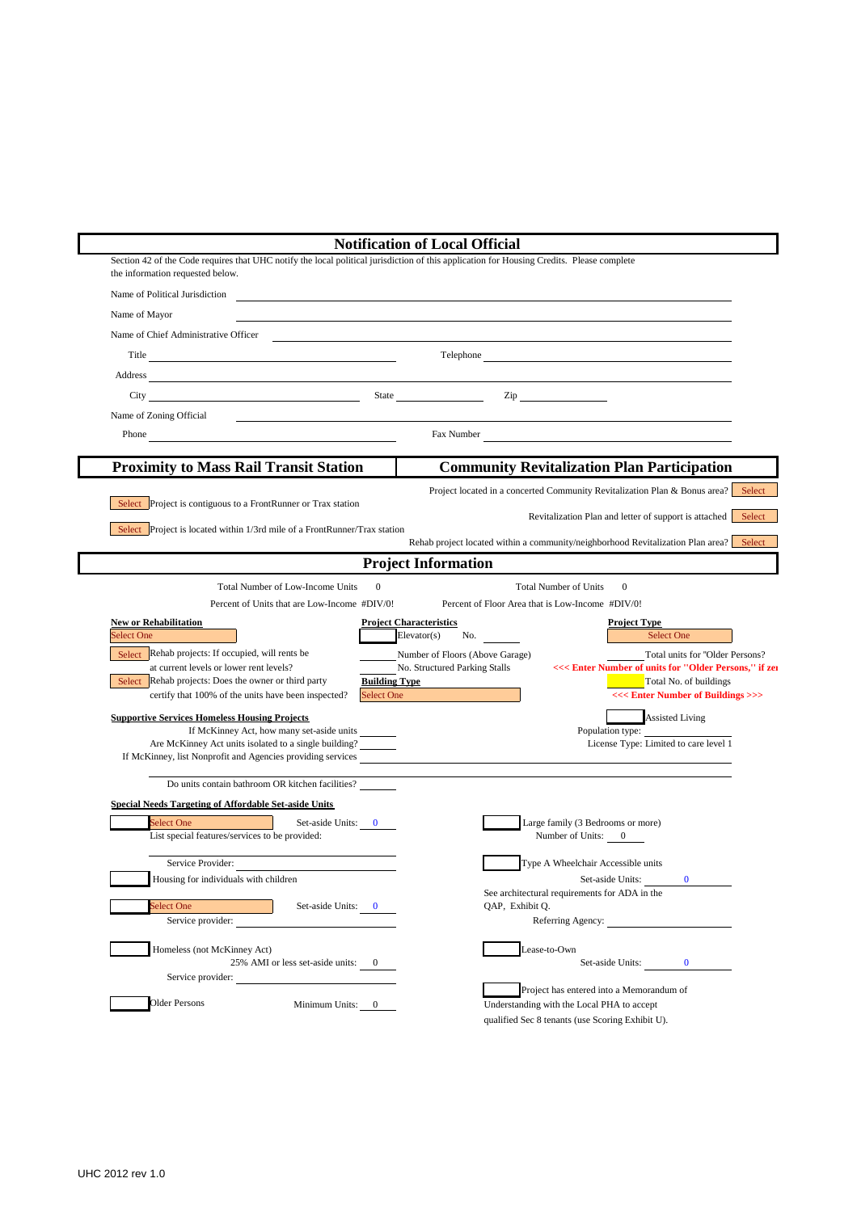|                                                                                                                                                                                                                                      | <b>Notification of Local Official</b>                                                     |
|--------------------------------------------------------------------------------------------------------------------------------------------------------------------------------------------------------------------------------------|-------------------------------------------------------------------------------------------|
| Section 42 of the Code requires that UHC notify the local political jurisdiction of this application for Housing Credits. Please complete<br>the information requested below.                                                        |                                                                                           |
| Name of Political Jurisdiction                                                                                                                                                                                                       |                                                                                           |
| Name of Mayor                                                                                                                                                                                                                        |                                                                                           |
| Name of Chief Administrative Officer                                                                                                                                                                                                 |                                                                                           |
| Title                                                                                                                                                                                                                                | Telephone                                                                                 |
|                                                                                                                                                                                                                                      |                                                                                           |
| City State                                                                                                                                                                                                                           | $\mathsf{Zip}\_$                                                                          |
| Name of Zoning Official                                                                                                                                                                                                              |                                                                                           |
| Phone <u>contains and the set of the set of the set of the set of the set of the set of the set of the set of the set of the set of the set of the set of the set of the set of the set of the set of the set of the set of the </u> |                                                                                           |
| <b>Proximity to Mass Rail Transit Station</b>                                                                                                                                                                                        | <b>Community Revitalization Plan Participation</b>                                        |
|                                                                                                                                                                                                                                      | Project located in a concerted Community Revitalization Plan & Bonus area? Select         |
| Select Project is contiguous to a FrontRunner or Trax station                                                                                                                                                                        |                                                                                           |
| Select Project is located within 1/3rd mile of a FrontRunner/Trax station                                                                                                                                                            | Revitalization Plan and letter of support is attached Select                              |
|                                                                                                                                                                                                                                      | Rehab project located within a community/neighborhood Revitalization Plan area? Select    |
|                                                                                                                                                                                                                                      | <b>Project Information</b>                                                                |
| $\overline{0}$<br>Total Number of Low-Income Units                                                                                                                                                                                   | <b>Total Number of Units</b><br>$\Omega$                                                  |
| Percent of Units that are Low-Income #DIV/0!                                                                                                                                                                                         | Percent of Floor Area that is Low-Income #DIV/0!                                          |
| <b>New or Rehabilitation</b><br><b>Select One</b>                                                                                                                                                                                    | <b>Project Characteristics</b><br><b>Project Type</b><br>Elevator(s)<br>No.<br>Select One |
| Select Rehab projects: If occupied, will rents be                                                                                                                                                                                    | Number of Floors (Above Garage)<br>Total units for "Older Persons?                        |
| at current levels or lower rent levels?                                                                                                                                                                                              | No. Structured Parking Stalls<br><<< Enter Number of units for "Older Persons," if zer    |
|                                                                                                                                                                                                                                      | Total No. of buildings                                                                    |
| Select Rehab projects: Does the owner or third party<br><b>Building Type</b>                                                                                                                                                         |                                                                                           |
| certify that 100% of the units have been inspected?<br>Select One                                                                                                                                                                    | <<<<<br>Enter Number of Buildings<>>                                                      |
| <b>Supportive Services Homeless Housing Projects</b>                                                                                                                                                                                 | <b>Assisted Living</b>                                                                    |
| If McKinney Act, how many set-aside units<br>Are McKinney Act units isolated to a single building?                                                                                                                                   | Population type:<br>License Type: Limited to care level 1                                 |
| If McKinney, list Nonprofit and Agencies providing services                                                                                                                                                                          |                                                                                           |
| Do units contain bathroom OR kitchen facilities?                                                                                                                                                                                     |                                                                                           |
| Special Needs Targeting of Affordable Set-aside Units                                                                                                                                                                                |                                                                                           |
| <b>Select One</b><br>Set-aside Units: 0                                                                                                                                                                                              | Large family (3 Bedrooms or more)                                                         |
| List special features/services to be provided:                                                                                                                                                                                       | Number of Units: 0                                                                        |
| Service Provider:                                                                                                                                                                                                                    | Type A Wheelchair Accessible units                                                        |
| Housing for individuals with children                                                                                                                                                                                                | Set-aside Units:<br>$\bf{0}$                                                              |
|                                                                                                                                                                                                                                      | See architectural requirements for ADA in the                                             |
| Select One<br>Set-aside Units: 0<br>Service provider:                                                                                                                                                                                | QAP, Exhibit Q.<br>Referring Agency:                                                      |
|                                                                                                                                                                                                                                      |                                                                                           |
| Homeless (not McKinney Act)                                                                                                                                                                                                          | Lease-to-Own                                                                              |
| 25% AMI or less set-aside units: 0<br>Service provider:                                                                                                                                                                              | Set-aside Units: 0                                                                        |
| <b>Older Persons</b><br>Minimum Units: 0                                                                                                                                                                                             | Project has entered into a Memorandum of<br>Understanding with the Local PHA to accept    |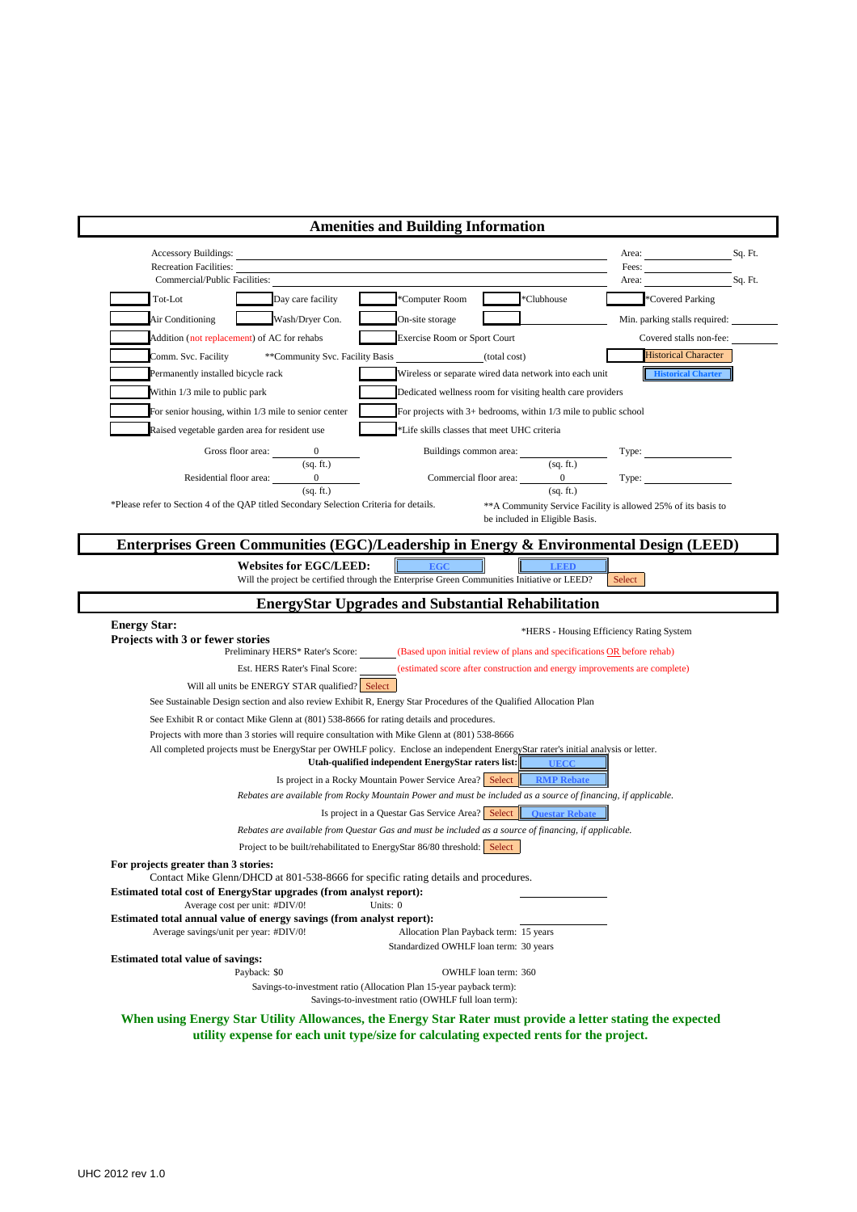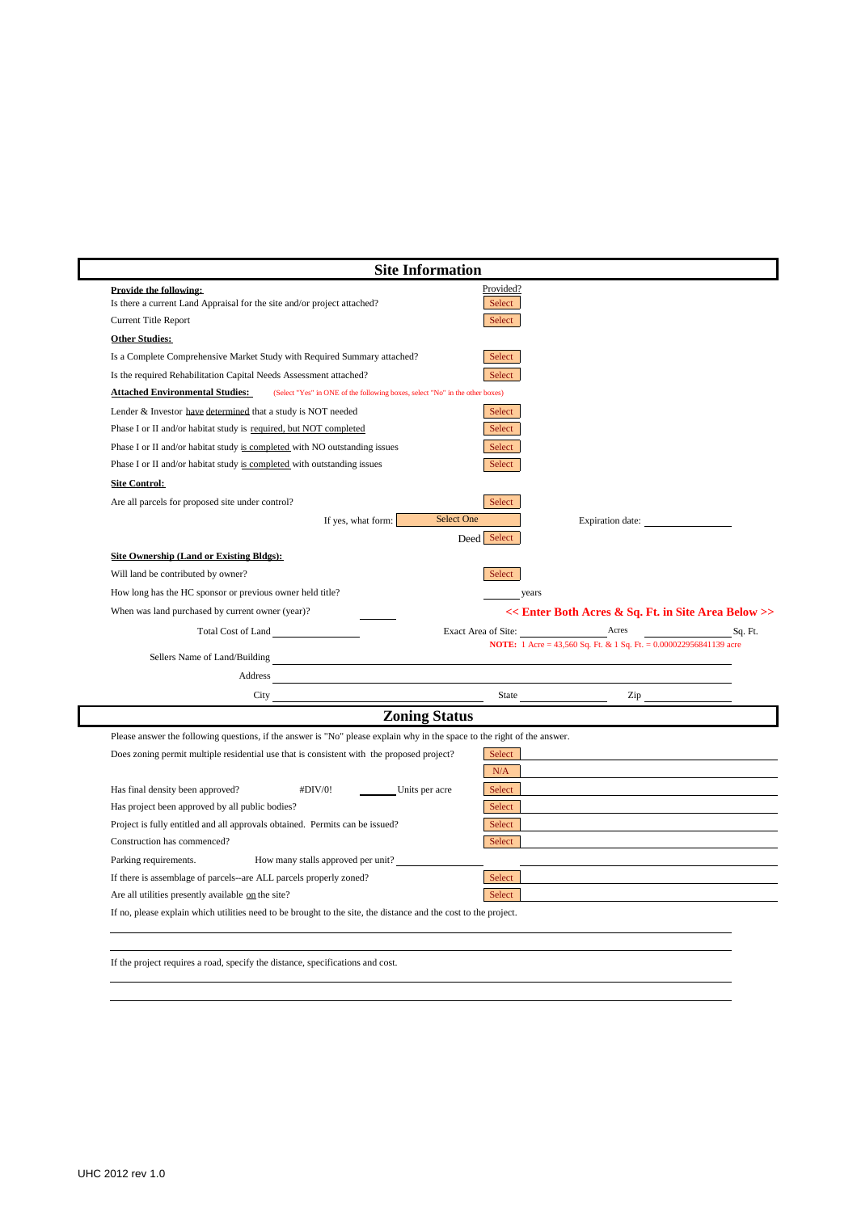|                                                                                                                                                                                                                                                                                                                                                                                                                                                           | <b>Site Information</b>                                                   |
|-----------------------------------------------------------------------------------------------------------------------------------------------------------------------------------------------------------------------------------------------------------------------------------------------------------------------------------------------------------------------------------------------------------------------------------------------------------|---------------------------------------------------------------------------|
| Provide the following:<br>Is there a current Land Appraisal for the site and/or project attached?                                                                                                                                                                                                                                                                                                                                                         | Provided?<br>Select                                                       |
| <b>Current Title Report</b>                                                                                                                                                                                                                                                                                                                                                                                                                               | Select                                                                    |
| <b>Other Studies:</b>                                                                                                                                                                                                                                                                                                                                                                                                                                     |                                                                           |
| Is a Complete Comprehensive Market Study with Required Summary attached?                                                                                                                                                                                                                                                                                                                                                                                  | Select                                                                    |
| Is the required Rehabilitation Capital Needs Assessment attached?                                                                                                                                                                                                                                                                                                                                                                                         | Select                                                                    |
| <b>Attached Environmental Studies:</b><br>(Select "Yes" in ONE of the following boxes, select "No" in the other boxes)                                                                                                                                                                                                                                                                                                                                    |                                                                           |
| Lender & Investor have determined that a study is NOT needed                                                                                                                                                                                                                                                                                                                                                                                              | Select                                                                    |
| Phase I or II and/or habitat study is required, but NOT completed                                                                                                                                                                                                                                                                                                                                                                                         | Select                                                                    |
| Phase I or II and/or habitat study is completed with NO outstanding issues                                                                                                                                                                                                                                                                                                                                                                                | Select                                                                    |
| Phase I or II and/or habitat study is completed with outstanding issues                                                                                                                                                                                                                                                                                                                                                                                   | Select                                                                    |
| <b>Site Control:</b>                                                                                                                                                                                                                                                                                                                                                                                                                                      |                                                                           |
| Are all parcels for proposed site under control?                                                                                                                                                                                                                                                                                                                                                                                                          | Select                                                                    |
| If yes, what form:                                                                                                                                                                                                                                                                                                                                                                                                                                        | <b>Select One</b><br>Expiration date:                                     |
|                                                                                                                                                                                                                                                                                                                                                                                                                                                           | Deed Select                                                               |
| <b>Site Ownership (Land or Existing Bldgs):</b>                                                                                                                                                                                                                                                                                                                                                                                                           |                                                                           |
| Will land be contributed by owner?                                                                                                                                                                                                                                                                                                                                                                                                                        | Select                                                                    |
| How long has the HC sponsor or previous owner held title?                                                                                                                                                                                                                                                                                                                                                                                                 | years                                                                     |
| When was land purchased by current owner (year)?                                                                                                                                                                                                                                                                                                                                                                                                          | << Enter Both Acres & Sq. Ft. in Site Area Below >>                       |
| Total Cost of Land                                                                                                                                                                                                                                                                                                                                                                                                                                        | Acres<br>Exact Area of Site:<br>Sq. Ft.                                   |
|                                                                                                                                                                                                                                                                                                                                                                                                                                                           | <b>NOTE:</b> 1 Acre = 43,560 Sq. Ft. & 1 Sq. Ft. = 0.000022956841139 acre |
|                                                                                                                                                                                                                                                                                                                                                                                                                                                           |                                                                           |
| Address                                                                                                                                                                                                                                                                                                                                                                                                                                                   |                                                                           |
| $\frac{City}{\sqrt{1 + \left( \frac{1}{\sqrt{1 + \left( \frac{1}{\sqrt{1 + \left( \frac{1}{\sqrt{1 + \left( \frac{1}{\sqrt{1 + \left( \frac{1}{\sqrt{1 + \left( \frac{1}{\sqrt{1 + \left( \frac{1}{\sqrt{1 + \left( \frac{1}{\sqrt{1 + \left( \frac{1}{\sqrt{1 + \left( \frac{1}{\sqrt{1 + \left( \frac{1}{\sqrt{1 + \left( \frac{1}{\sqrt{1 + \left( \frac{1}{\sqrt{1 + \left( \frac{1}{\sqrt{1 + \left( \frac{1}{\sqrt{1 + \left( \frac{1}{\sqrt{1 + \$ | State<br>$\mathsf{Zip} \xrightarrow{\qquad \qquad }$                      |
| <b>Zoning Status</b>                                                                                                                                                                                                                                                                                                                                                                                                                                      |                                                                           |
| Please answer the following questions, if the answer is "No" please explain why in the space to the right of the answer.                                                                                                                                                                                                                                                                                                                                  |                                                                           |
| Does zoning permit multiple residential use that is consistent with the proposed project?                                                                                                                                                                                                                                                                                                                                                                 | Select                                                                    |
|                                                                                                                                                                                                                                                                                                                                                                                                                                                           | N/A                                                                       |
| Has final density been approved?<br>#DIV/0!<br>Units per acre                                                                                                                                                                                                                                                                                                                                                                                             | Select                                                                    |
| Has project been approved by all public bodies?                                                                                                                                                                                                                                                                                                                                                                                                           | Select                                                                    |
| Project is fully entitled and all approvals obtained. Permits can be issued?                                                                                                                                                                                                                                                                                                                                                                              | Select                                                                    |
| Construction has commenced?                                                                                                                                                                                                                                                                                                                                                                                                                               | Select                                                                    |
| Parking requirements.<br>How many stalls approved per unit?                                                                                                                                                                                                                                                                                                                                                                                               |                                                                           |
|                                                                                                                                                                                                                                                                                                                                                                                                                                                           | Select                                                                    |
| If there is assemblage of parcels--are ALL parcels properly zoned?                                                                                                                                                                                                                                                                                                                                                                                        |                                                                           |
| Are all utilities presently available on the site?                                                                                                                                                                                                                                                                                                                                                                                                        | Select                                                                    |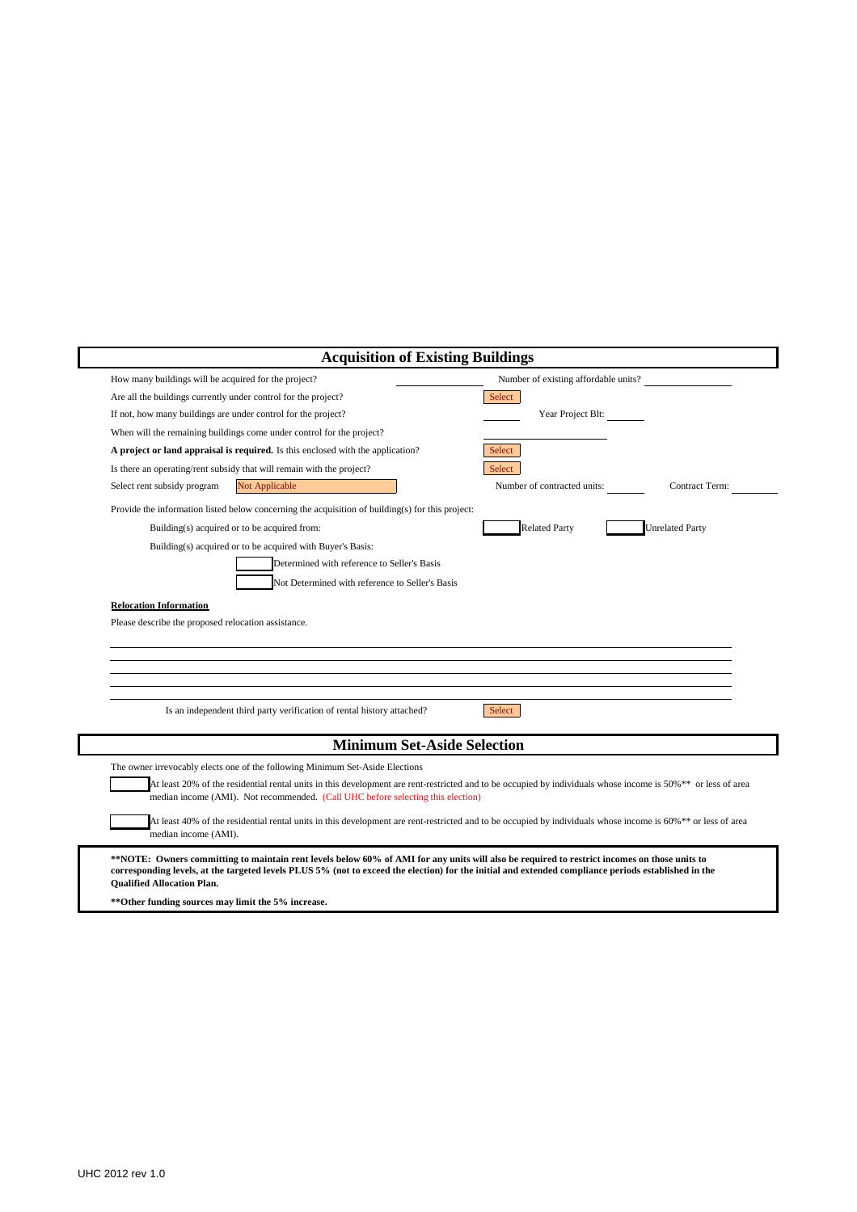|                                                                                                                                                                                                                                                                                                                                           | <b>Acquisition of Existing Buildings</b> |                        |  |  |  |  |
|-------------------------------------------------------------------------------------------------------------------------------------------------------------------------------------------------------------------------------------------------------------------------------------------------------------------------------------------|------------------------------------------|------------------------|--|--|--|--|
| How many buildings will be acquired for the project?                                                                                                                                                                                                                                                                                      | Number of existing affordable units?     |                        |  |  |  |  |
| Are all the buildings currently under control for the project?                                                                                                                                                                                                                                                                            | Select                                   |                        |  |  |  |  |
| If not, how many buildings are under control for the project?                                                                                                                                                                                                                                                                             | Year Project Blt:                        |                        |  |  |  |  |
| When will the remaining buildings come under control for the project?                                                                                                                                                                                                                                                                     |                                          |                        |  |  |  |  |
| A project or land appraisal is required. Is this enclosed with the application?                                                                                                                                                                                                                                                           | Select                                   |                        |  |  |  |  |
| Is there an operating/rent subsidy that will remain with the project?                                                                                                                                                                                                                                                                     | Select                                   |                        |  |  |  |  |
| Select rent subsidy program<br>Not Applicable                                                                                                                                                                                                                                                                                             | Number of contracted units:              | Contract Term:         |  |  |  |  |
| Provide the information listed below concerning the acquisition of building(s) for this project:                                                                                                                                                                                                                                          |                                          |                        |  |  |  |  |
| Building(s) acquired or to be acquired from:                                                                                                                                                                                                                                                                                              | <b>Related Party</b>                     | <b>Unrelated Party</b> |  |  |  |  |
| Building(s) acquired or to be acquired with Buyer's Basis:                                                                                                                                                                                                                                                                                |                                          |                        |  |  |  |  |
| Determined with reference to Seller's Basis                                                                                                                                                                                                                                                                                               |                                          |                        |  |  |  |  |
| Not Determined with reference to Seller's Basis                                                                                                                                                                                                                                                                                           |                                          |                        |  |  |  |  |
| <b>Relocation Information</b><br>Please describe the proposed relocation assistance.                                                                                                                                                                                                                                                      |                                          |                        |  |  |  |  |
| Is an independent third party verification of rental history attached?                                                                                                                                                                                                                                                                    | Select                                   |                        |  |  |  |  |
|                                                                                                                                                                                                                                                                                                                                           |                                          |                        |  |  |  |  |
| <b>Minimum Set-Aside Selection</b>                                                                                                                                                                                                                                                                                                        |                                          |                        |  |  |  |  |
| The owner irrevocably elects one of the following Minimum Set-Aside Elections<br>At least 20% of the residential rental units in this development are rent-restricted and to be occupied by individuals whose income is 50%** or less of area<br>median income (AMI). Not recommended. (Call UHC before selecting this election)          |                                          |                        |  |  |  |  |
| At least 40% of the residential rental units in this development are rent-restricted and to be occupied by individuals whose income is 60%** or less of area<br>median income (AMI).                                                                                                                                                      |                                          |                        |  |  |  |  |
| **NOTE: Owners committing to maintain rent levels below 60% of AMI for any units will also be required to restrict incomes on those units to<br>corresponding levels, at the targeted levels PLUS 5% (not to exceed the election) for the initial and extended compliance periods established in the<br><b>Oualified Allocation Plan.</b> |                                          |                        |  |  |  |  |

UHC 2012 rev 1.0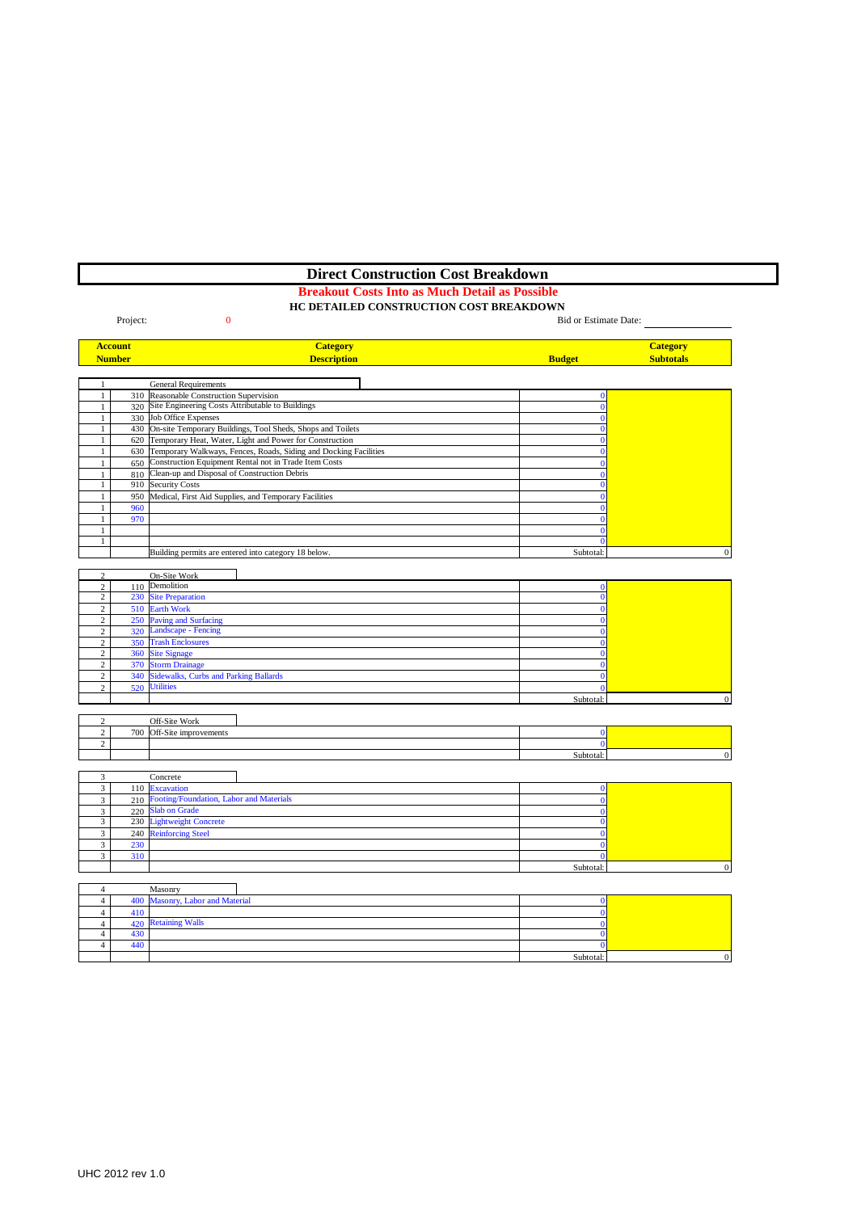# **Direct Construction Cost Breakdown**

## **Breakout Costs Into as Much Detail as Possible**

### **HC DETAILED CONSTRUCTION COST BREAKDOWN**

|                              | Project:       | $\bf{0}$                                                             | Bid or Estimate Date:    |                  |
|------------------------------|----------------|----------------------------------------------------------------------|--------------------------|------------------|
|                              | <b>Account</b> | <b>Category</b>                                                      |                          | <b>Category</b>  |
|                              | <b>Number</b>  | <b>Description</b>                                                   | <b>Budget</b>            | <b>Subtotals</b> |
|                              |                |                                                                      |                          |                  |
| 1                            |                | <b>General Requirements</b>                                          |                          |                  |
| $\mathbf{1}$                 |                | 310 Reasonable Construction Supervision                              | $\mathbf{0}$             |                  |
| $\mathbf{1}$                 | 320            | Site Engineering Costs Attributable to Buildings                     | $\mathbf{0}$             |                  |
| $\mathbf{1}$                 |                | 330 Job Office Expenses                                              | $\mathbf{0}$             |                  |
| $\mathbf{1}$                 |                | 430 On-site Temporary Buildings, Tool Sheds, Shops and Toilets       | $\bf{0}$                 |                  |
| $\mathbf{1}$                 |                | 620 Temporary Heat, Water, Light and Power for Construction          | $\mathbf{0}$             |                  |
| $\mathbf{1}$                 |                | 630 Temporary Walkways, Fences, Roads, Siding and Docking Facilities | $\bf{0}$                 |                  |
| 1                            |                | 650 Construction Equipment Rental not in Trade Item Costs            | $\mathbf{0}$             |                  |
|                              |                | 810 Clean-up and Disposal of Construction Debris                     | $\mathbf{0}$             |                  |
| $\mathbf{1}$                 |                | 910 Security Costs                                                   | $\bf{0}$                 |                  |
| $\mathbf{1}$                 |                | 950 Medical, First Aid Supplies, and Temporary Facilities            | $\mathbf{0}$             |                  |
| 1                            | 960            |                                                                      | $\mathbf{0}$             |                  |
| $\mathbf{1}$                 | 970            |                                                                      | $\bf{0}$                 |                  |
|                              |                |                                                                      |                          |                  |
| $\mathbf{1}$<br>$\mathbf{1}$ |                |                                                                      | $\mathbf{0}$<br>$\bf{0}$ |                  |
|                              |                |                                                                      |                          |                  |
|                              |                | Building permits are entered into category 18 below.                 | Subtotal:                | $\mathbf{0}$     |
|                              |                |                                                                      |                          |                  |
| $\overline{c}$               |                | On-Site Work                                                         |                          |                  |
| $\overline{2}$               | 110            | Demolition                                                           | $\Omega$                 |                  |
| $\overline{c}$               |                | 230 Site Preparation                                                 | $\bf{0}$                 |                  |
| $\overline{c}$               |                | 510 Earth Work                                                       | $\mathbf{0}$             |                  |
| $\overline{c}$               |                | 250 Paving and Surfacing                                             | $\bf{0}$                 |                  |
| $\overline{c}$               |                | 320 Landscape - Fencing                                              | $\bf{0}$                 |                  |
| $\overline{c}$               |                | 350 Trash Enclosures                                                 | $\Omega$                 |                  |
| $\overline{c}$               |                | 360 Site Signage                                                     | $\bf{0}$                 |                  |
| $\overline{c}$               | 370            | <b>Storm Drainage</b>                                                | $\mathbf{0}$             |                  |
| $\overline{c}$               |                | 340 Sidewalks, Curbs and Parking Ballards                            | $\mathbf{0}$             |                  |
| $\overline{c}$               | 520            | <b>Utilities</b>                                                     | $\mathbf{0}$             |                  |
|                              |                |                                                                      | Subtotal:                | $\mathbf{0}$     |
|                              |                |                                                                      |                          |                  |
| $\overline{c}$               |                | Off-Site Work                                                        |                          |                  |
| $\overline{c}$               |                | 700 Off-Site improvements                                            | $\mathbf{0}$             |                  |
| $\overline{c}$               |                |                                                                      | $\mathbf{0}$             |                  |
|                              |                |                                                                      | Subtotal:                | $\Omega$         |
|                              |                |                                                                      |                          |                  |
| 3                            |                | Concrete                                                             |                          |                  |
| $\overline{\mathbf{3}}$      |                | 110 Excavation                                                       | $\bf{0}$                 |                  |
| $\overline{3}$               |                | 210 Footing/Foundation, Labor and Materials                          | $\mathbf{0}$             |                  |
| 3                            |                | 220 Slab on Grade                                                    | $\bf{0}$                 |                  |
| $\overline{\mathbf{3}}$      | 230            | <b>Lightweight Concrete</b>                                          | $\mathbf{0}$             |                  |
| 3                            | 240            | <b>Reinforcing Steel</b>                                             | $\mathbf{0}$             |                  |
| 3                            | 230            |                                                                      | $\mathbf{0}$             |                  |
| 3                            | 310            |                                                                      | $\mathbf{0}$             |                  |
|                              |                |                                                                      | Subtotal:                | $\Omega$         |
|                              |                |                                                                      |                          |                  |
| $\overline{4}$               |                | Masonry                                                              |                          |                  |
| $\overline{4}$               | 400            | Masonry, Labor and Material                                          | $\bf{0}$                 |                  |
| $\overline{4}$               | 410            |                                                                      | $\bf{0}$                 |                  |
| $\overline{4}$               |                | 420 Retaining Walls                                                  | $\mathbf{0}$             |                  |
| $\overline{4}$               | 430            |                                                                      | $\mathbf{0}$             |                  |
|                              |                |                                                                      |                          |                  |

 $440$  and  $440$ 

Subtotal: 0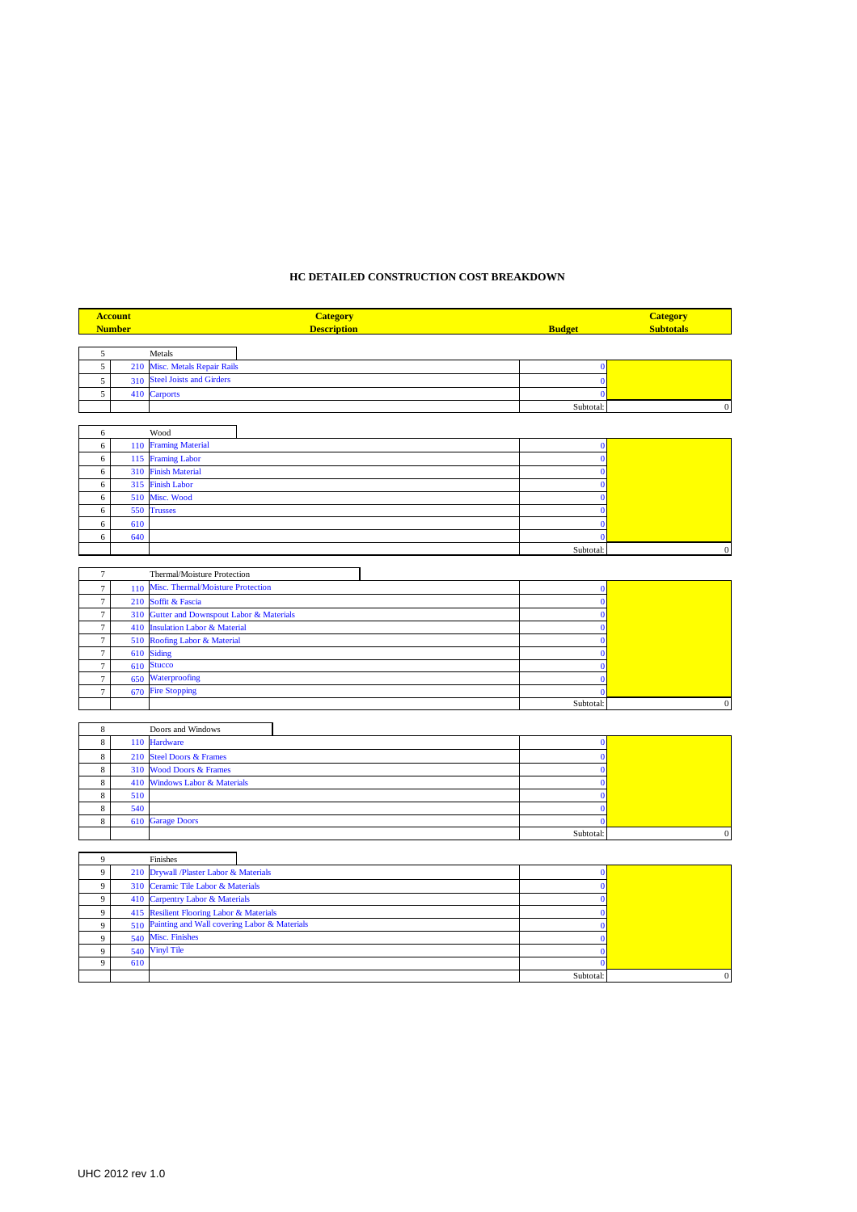# **HC DETAILED CONSTRUCTION COST BREAKDOWN**

|                  | <b>Account</b><br><b>Number</b> | <b>Category</b><br><b>Description</b>                                            | <b>Budget</b>        | <b>Category</b><br><b>Subtotals</b> |
|------------------|---------------------------------|----------------------------------------------------------------------------------|----------------------|-------------------------------------|
|                  |                                 |                                                                                  |                      |                                     |
| 5                |                                 | Metals                                                                           |                      |                                     |
| 5                | 210                             | Misc. Metals Repair Rails                                                        | $\bf{0}$             |                                     |
| $\sqrt{5}$       | 310                             | <b>Steel Joists and Girders</b>                                                  | $\bf{0}$             |                                     |
| 5                | 410                             | <b>Carports</b>                                                                  | $\bf{0}$             |                                     |
|                  |                                 |                                                                                  | Subtotal:            | $\boldsymbol{0}$                    |
|                  |                                 |                                                                                  |                      |                                     |
| 6                |                                 | Wood                                                                             |                      |                                     |
| 6                | 110                             | <b>Framing Material</b>                                                          | $\bf{0}$             |                                     |
| 6                | 115                             | <b>Framing Labor</b>                                                             | $\bf{0}$             |                                     |
| 6                | 310                             | <b>Finish Material</b>                                                           | $\bf{0}$             |                                     |
| 6                | 315                             | <b>Finish Labor</b>                                                              | $\bf{0}$             |                                     |
| 6                | 510                             | Misc. Wood                                                                       | $\mathbf{0}$         |                                     |
| 6                | 550                             | <b>Trusses</b>                                                                   | $\bf{0}$             |                                     |
| $\sqrt{6}$       | 610                             |                                                                                  | $\mathbf{0}$         |                                     |
| $\sqrt{6}$       | 640                             |                                                                                  | $\mathbf{0}$         |                                     |
|                  |                                 |                                                                                  | Subtotal:            | $\boldsymbol{0}$                    |
|                  |                                 |                                                                                  |                      |                                     |
| $\overline{7}$   |                                 | Thermal/Moisture Protection                                                      |                      |                                     |
| $\boldsymbol{7}$ | 110                             | Misc. Thermal/Moisture Protection                                                | $\bf{0}$<br>$\bf{0}$ |                                     |
| $\tau$<br>$\tau$ | 210<br>310                      | Soffit & Fascia                                                                  | $\mathbf 0$          |                                     |
| $\boldsymbol{7}$ | 410                             | Gutter and Downspout Labor & Materials<br><b>Insulation Labor &amp; Material</b> | $\mathbf{0}$         |                                     |
| $\boldsymbol{7}$ | 510                             | Roofing Labor & Material                                                         | $\bf{0}$             |                                     |
| $\boldsymbol{7}$ | 610                             | <b>Siding</b>                                                                    | $\bf{0}$             |                                     |
| $\tau$           | 610                             | <b>Stucco</b>                                                                    | $\mathbf{0}$         |                                     |
| $\tau$           | 650                             | Waterproofing                                                                    | $\bf{0}$             |                                     |
| $\tau$           | 670                             | <b>Fire Stopping</b>                                                             | $\mathbf{0}$         |                                     |
|                  |                                 |                                                                                  | Subtotal:            | $\boldsymbol{0}$                    |
|                  |                                 |                                                                                  |                      |                                     |
| $\,$ 8 $\,$      |                                 | Doors and Windows                                                                |                      |                                     |
| $\,$ 8 $\,$      | 110                             | <b>Hardware</b>                                                                  | $\bf{0}$             |                                     |
| $\,$ 8 $\,$      | 210                             | <b>Steel Doors &amp; Frames</b>                                                  | $\bf{0}$             |                                     |
| $\,$ 8 $\,$      | 310                             | <b>Wood Doors &amp; Frames</b>                                                   | $\bf{0}$             |                                     |
| $\,$ 8 $\,$      | 410                             | <b>Windows Labor &amp; Materials</b>                                             | $\bf{0}$             |                                     |
| $\,$ 8 $\,$      | 510                             |                                                                                  | $\bf{0}$             |                                     |
| $\,$ 8 $\,$      | 540                             |                                                                                  | $\mathbf{0}$         |                                     |
| $\,$ 8 $\,$      | 610                             | <b>Garage Doors</b>                                                              | $\mathbf{0}$         |                                     |
|                  |                                 |                                                                                  | Subtotal:            | $\boldsymbol{0}$                    |
| 9                |                                 | Finishes                                                                         |                      |                                     |
| $\overline{9}$   | 210                             | Drywall /Plaster Labor & Materials                                               | $\mathbf 0$          |                                     |
| $\overline{9}$   | 310                             | Ceramic Tile Labor & Materials                                                   | $\mathbf{0}$         |                                     |
| 9                | 410                             | Carpentry Labor & Materials                                                      | $\bf{0}$             |                                     |
| 9                |                                 | 415 Resilient Flooring Labor & Materials                                         | $\bf{0}$             |                                     |

|     | 415 Resilient Flooring Labor & Materials         |           |  |
|-----|--------------------------------------------------|-----------|--|
|     | 510 Painting and Wall covering Labor & Materials |           |  |
|     | 540 Misc. Finishes                               |           |  |
|     | 540 Vinyl Tile                                   |           |  |
| 610 |                                                  |           |  |
|     |                                                  | Subtotal: |  |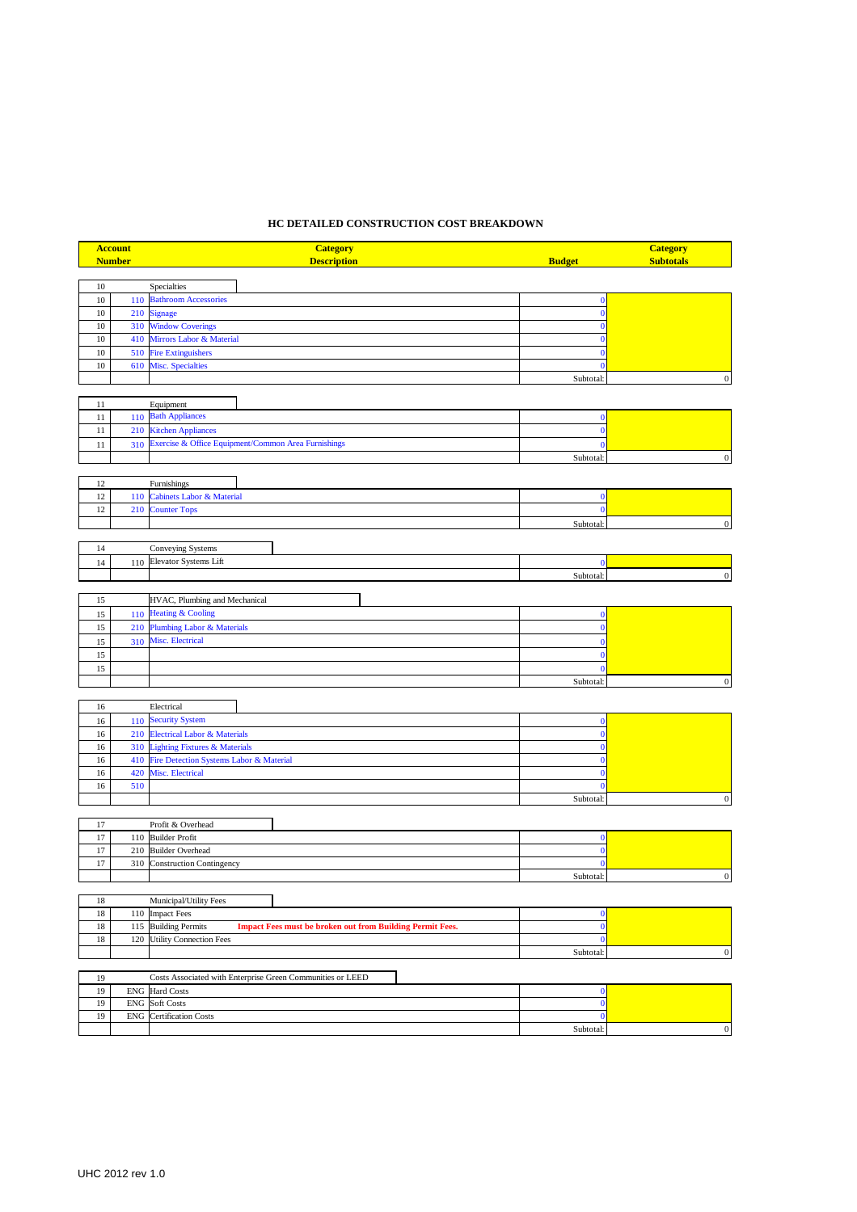## **HC DETAILED CONSTRUCTION COST BREAKDOWN**

|      | <b>Account</b> | <b>Category</b>                                                                             |               | <b>Category</b>  |
|------|----------------|---------------------------------------------------------------------------------------------|---------------|------------------|
|      | <b>Number</b>  | <b>Description</b>                                                                          | <b>Budget</b> | <b>Subtotals</b> |
|      |                |                                                                                             |               |                  |
| 10   |                | Specialties                                                                                 |               |                  |
| $10$ | 110            | <b>Bathroom Accessories</b>                                                                 | $\bf{0}$      |                  |
| 10   | 210            | <b>Signage</b>                                                                              | $\mathbf{0}$  |                  |
| $10$ | 310            | <b>Window Coverings</b>                                                                     | $\mathbf{0}$  |                  |
| $10$ | 410            | Mirrors Labor & Material                                                                    | $\Omega$      |                  |
| $10$ | 510            | <b>Fire Extinguishers</b>                                                                   | ſ             |                  |
| $10$ | 610            | Misc. Specialties                                                                           | $\Omega$      |                  |
|      |                |                                                                                             | Subtotal:     | $\mathbf{0}$     |
|      |                |                                                                                             |               |                  |
| 11   |                | Equipment                                                                                   |               |                  |
| 11   | 110            | <b>Bath Appliances</b>                                                                      | $\bf{0}$      |                  |
| 11   | 210            | <b>Kitchen Appliances</b>                                                                   | $\bf{0}$      |                  |
| 11   | 310            | Exercise & Office Equipment/Common Area Furnishings                                         | $\mathbf{C}$  |                  |
|      |                |                                                                                             | Subtotal:     | $\boldsymbol{0}$ |
|      |                |                                                                                             |               |                  |
| 12   |                | Furnishings                                                                                 |               |                  |
| 12   | 110            | Cabinets Labor & Material                                                                   | $\mathbf{0}$  |                  |
| 12   | 210            | <b>Counter Tops</b>                                                                         | $\bf{0}$      |                  |
|      |                |                                                                                             | Subtotal:     | $\boldsymbol{0}$ |
|      |                |                                                                                             |               |                  |
| 14   |                | Conveying Systems                                                                           |               |                  |
| 14   | 110            | Elevator Systems Lift                                                                       | $\bf{0}$      |                  |
|      |                |                                                                                             | Subtotal:     | $\boldsymbol{0}$ |
|      |                |                                                                                             |               |                  |
| 15   |                | HVAC, Plumbing and Mechanical                                                               |               |                  |
|      |                | <b>Heating &amp; Cooling</b>                                                                |               |                  |
| 15   | 110            |                                                                                             | $\bf{0}$      |                  |
| 15   | 210            | <b>Plumbing Labor &amp; Materials</b>                                                       | $\bf{0}$      |                  |
| 15   | 310            | Misc. Electrical                                                                            | $\Omega$      |                  |
| 15   |                |                                                                                             | $\mathbf{0}$  |                  |
| 15   |                |                                                                                             | $\mathbf{C}$  |                  |
|      |                |                                                                                             | Subtotal:     | $\mathbf{0}$     |
|      |                |                                                                                             |               |                  |
| 16   |                | Electrical                                                                                  |               |                  |
| 16   | 110            | <b>Security System</b>                                                                      | $\mathbf{0}$  |                  |
| 16   | 210            | Electrical Labor & Materials                                                                | $\mathbf{0}$  |                  |
| 16   | 310            | <b>Lighting Fixtures &amp; Materials</b>                                                    | $\bf{0}$      |                  |
| 16   | 410            | Fire Detection Systems Labor & Material                                                     | $\bf{0}$      |                  |
| 16   | 420            | Misc. Electrical                                                                            | $\mathbf{0}$  |                  |
| 16   | 510            |                                                                                             | $\mathbf{0}$  |                  |
|      |                |                                                                                             | Subtotal:     | $\boldsymbol{0}$ |
|      |                |                                                                                             |               |                  |
| 17   |                | Profit & Overhead                                                                           |               |                  |
| 17   | 110            | <b>Builder Profit</b>                                                                       | $\bf{0}$      |                  |
| 17   | 210            | <b>Builder Overhead</b>                                                                     | $\bf{0}$      |                  |
| 17   | 310            | <b>Construction Contingency</b>                                                             | $\mathbf{0}$  |                  |
|      |                |                                                                                             | Subtotal:     | $\boldsymbol{0}$ |
|      |                |                                                                                             |               |                  |
| 18   |                | Municipal/Utility Fees                                                                      |               |                  |
| 18   | 110            | <b>Impact Fees</b>                                                                          | $\bf{0}$      |                  |
| 18   | 115            | <b>Building Permits</b><br><b>Impact Fees must be broken out from Building Permit Fees.</b> | $\bf{0}$      |                  |
| 18   | 120            | <b>Utility Connection Fees</b>                                                              | $\bf{0}$      |                  |
|      |                |                                                                                             | Subtotal:     | $\boldsymbol{0}$ |
|      |                |                                                                                             |               |                  |
| 19   |                | Costs Associated with Enterprise Green Communities or LEED                                  |               |                  |
| 19   |                | <b>ENG</b> Hard Costs                                                                       | $\bf{0}$      |                  |
| 19   |                | <b>ENG</b> Soft Costs                                                                       | $\bf{0}$      |                  |
| 19   | ${\rm ENG}$    | <b>Certification Costs</b>                                                                  | $\bf{0}$      |                  |
|      |                |                                                                                             | Subtotal:     | $\boldsymbol{0}$ |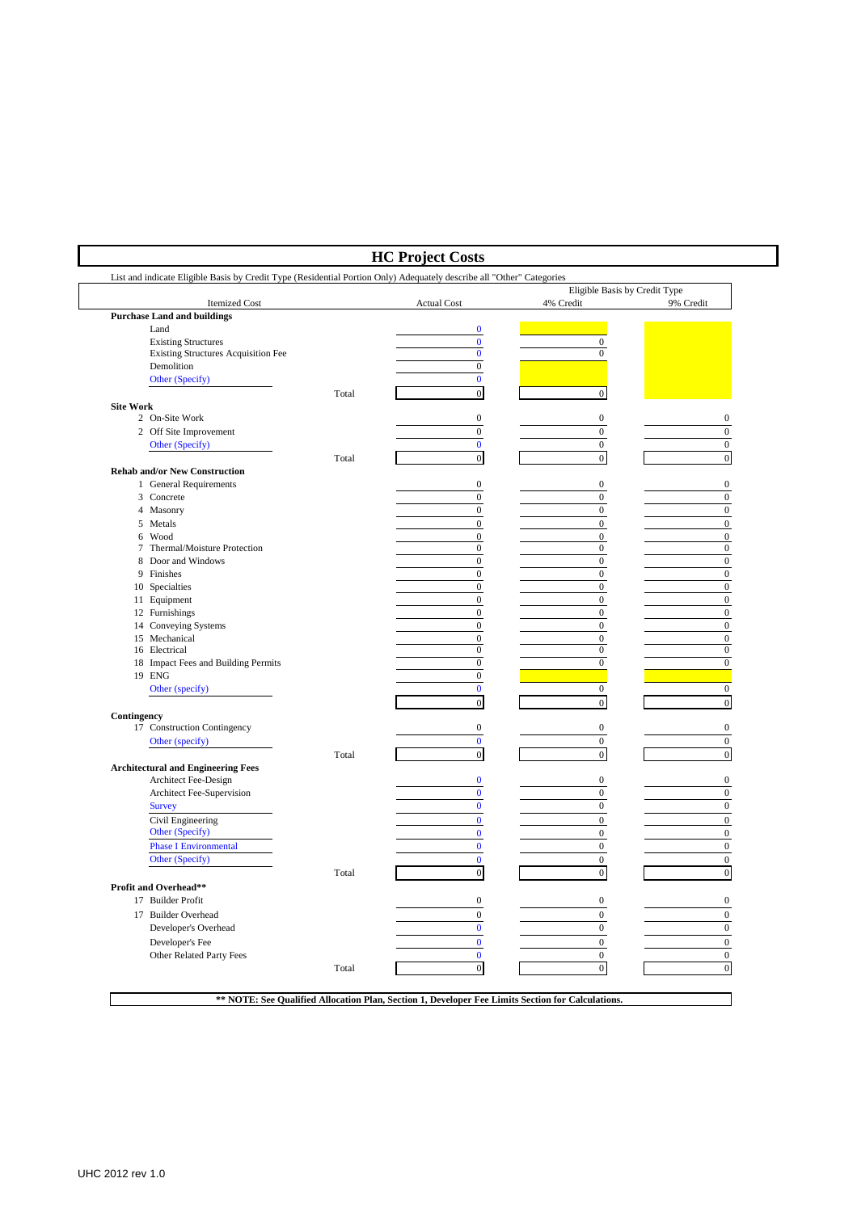| List and indicate Eligible Basis by Credit Type (Residential Portion Only) Adequately describe all "Other" Categories |       |                                      |                                            |                  |
|-----------------------------------------------------------------------------------------------------------------------|-------|--------------------------------------|--------------------------------------------|------------------|
| <b>Itemized Cost</b>                                                                                                  |       | <b>Actual Cost</b>                   | Eligible Basis by Credit Type<br>4% Credit | 9% Credit        |
| <b>Purchase Land and buildings</b>                                                                                    |       |                                      |                                            |                  |
| Land                                                                                                                  |       | $\bf{0}$                             |                                            |                  |
| <b>Existing Structures</b>                                                                                            |       | $\bf{0}$                             | $\boldsymbol{0}$                           |                  |
| <b>Existing Structures Acquisition Fee</b>                                                                            |       | $\mathbf{0}$                         | $\Omega$                                   |                  |
| Demolition                                                                                                            |       | $\boldsymbol{0}$                     |                                            |                  |
| Other (Specify)                                                                                                       |       | $\bf{0}$                             |                                            |                  |
| <b>Site Work</b>                                                                                                      | Total | $\mathbf{0}$                         | $\mathbf{0}$                               |                  |
| 2 On-Site Work                                                                                                        |       | $\boldsymbol{0}$                     | $\boldsymbol{0}$                           | $\boldsymbol{0}$ |
| 2 Off Site Improvement                                                                                                |       | $\boldsymbol{0}$                     | $\boldsymbol{0}$                           | $\boldsymbol{0}$ |
| Other (Specify)                                                                                                       |       | $\mathbf{0}$                         | $\boldsymbol{0}$                           | $\boldsymbol{0}$ |
|                                                                                                                       | Total | $\mathbf{0}$                         | $\boldsymbol{0}$                           | $\boldsymbol{0}$ |
| <b>Rehab and/or New Construction</b>                                                                                  |       |                                      |                                            |                  |
| 1 General Requirements                                                                                                |       | $\bf{0}$                             | $\boldsymbol{0}$                           | $\boldsymbol{0}$ |
| 3 Concrete                                                                                                            |       | $\boldsymbol{0}$                     | $\boldsymbol{0}$                           | $\boldsymbol{0}$ |
| 4 Masonry                                                                                                             |       | $\boldsymbol{0}$                     | $\boldsymbol{0}$                           | $\boldsymbol{0}$ |
| 5 Metals                                                                                                              |       | $\boldsymbol{0}$                     | $\boldsymbol{0}$                           | $\boldsymbol{0}$ |
| 6 Wood                                                                                                                |       | $\bf{0}$                             | $\boldsymbol{0}$                           | $\boldsymbol{0}$ |
| 7 Thermal/Moisture Protection                                                                                         |       | $\boldsymbol{0}$                     | $\boldsymbol{0}$                           | $\boldsymbol{0}$ |
| 8 Door and Windows                                                                                                    |       | $\boldsymbol{0}$                     | $\mathbf{0}$                               | $\boldsymbol{0}$ |
| 9 Finishes                                                                                                            |       | $\boldsymbol{0}$                     | $\boldsymbol{0}$                           | $\boldsymbol{0}$ |
| 10 Specialties                                                                                                        |       | $\boldsymbol{0}$                     | $\boldsymbol{0}$                           | $\boldsymbol{0}$ |
| 11 Equipment                                                                                                          |       | $\boldsymbol{0}$                     | $\boldsymbol{0}$                           | $\boldsymbol{0}$ |
| 12 Furnishings                                                                                                        |       | $\boldsymbol{0}$                     | $\boldsymbol{0}$                           | $\boldsymbol{0}$ |
| 14 Conveying Systems                                                                                                  |       | $\boldsymbol{0}$                     | $\boldsymbol{0}$                           | $\boldsymbol{0}$ |
| 15 Mechanical                                                                                                         |       | $\boldsymbol{0}$                     | $\boldsymbol{0}$                           | $\boldsymbol{0}$ |
| 16 Electrical                                                                                                         |       | $\boldsymbol{0}$                     | $\boldsymbol{0}$<br>$\mathbf{0}$           | $\boldsymbol{0}$ |
| 18 Impact Fees and Building Permits<br>19 ENG                                                                         |       | $\boldsymbol{0}$<br>$\boldsymbol{0}$ |                                            | $\boldsymbol{0}$ |
| Other (specify)                                                                                                       |       | $\mathbf{0}$                         | $\boldsymbol{0}$                           | $\boldsymbol{0}$ |
|                                                                                                                       |       | $\mathbf{0}$                         | $\mathbf{0}$                               | $\boldsymbol{0}$ |
| Contingency                                                                                                           |       |                                      |                                            |                  |
| 17 Construction Contingency                                                                                           |       | $\boldsymbol{0}$                     | $\boldsymbol{0}$                           | $\boldsymbol{0}$ |
| Other (specify)                                                                                                       |       | $\bf{0}$                             | $\boldsymbol{0}$                           | $\mathbf{0}$     |
|                                                                                                                       | Total | $\mathbf{0}$                         | $\boldsymbol{0}$                           | $\boldsymbol{0}$ |
| <b>Architectural and Engineering Fees</b>                                                                             |       |                                      |                                            |                  |
| Architect Fee-Design                                                                                                  |       | $\bf{0}$                             | $\boldsymbol{0}$                           | $\boldsymbol{0}$ |
| Architect Fee-Supervision                                                                                             |       | $\bf{0}$                             | $\boldsymbol{0}$                           | $\boldsymbol{0}$ |
| <b>Survey</b>                                                                                                         |       | $\bf{0}$                             | $\boldsymbol{0}$                           | $\boldsymbol{0}$ |
| Civil Engineering                                                                                                     |       | $\boldsymbol{0}$                     | $\boldsymbol{0}$                           | $\boldsymbol{0}$ |
| Other (Specify)                                                                                                       |       | $\boldsymbol{0}$                     | $\boldsymbol{0}$                           | $\boldsymbol{0}$ |
| <b>Phase I Environmental</b>                                                                                          |       | $\bf{0}$                             | $\boldsymbol{0}$                           | $\boldsymbol{0}$ |
| Other (Specify)                                                                                                       |       | $\bf{0}$                             | $\boldsymbol{0}$                           | $\boldsymbol{0}$ |
|                                                                                                                       | Total | $\boldsymbol{0}$                     | $\boldsymbol{0}$                           | $\boldsymbol{0}$ |
| <b>Profit and Overhead**</b>                                                                                          |       |                                      |                                            |                  |
| 17 Builder Profit                                                                                                     |       | $\boldsymbol{0}$                     | $\boldsymbol{0}$                           | $\boldsymbol{0}$ |
| 17 Builder Overhead                                                                                                   |       | $\bf{0}$                             | $\boldsymbol{0}$                           | $\boldsymbol{0}$ |
| Developer's Overhead                                                                                                  |       | $\bf{0}$                             | $\boldsymbol{0}$                           | $\boldsymbol{0}$ |
| Developer's Fee                                                                                                       |       | $\bf{0}$                             | $\boldsymbol{0}$                           | $\boldsymbol{0}$ |
| Other Related Party Fees                                                                                              |       | $\bf{0}$                             | $\mathbf{0}$                               | $\mathbf{0}$     |
|                                                                                                                       | Total | $\overline{0}$                       | $\boldsymbol{0}$                           | $\boldsymbol{0}$ |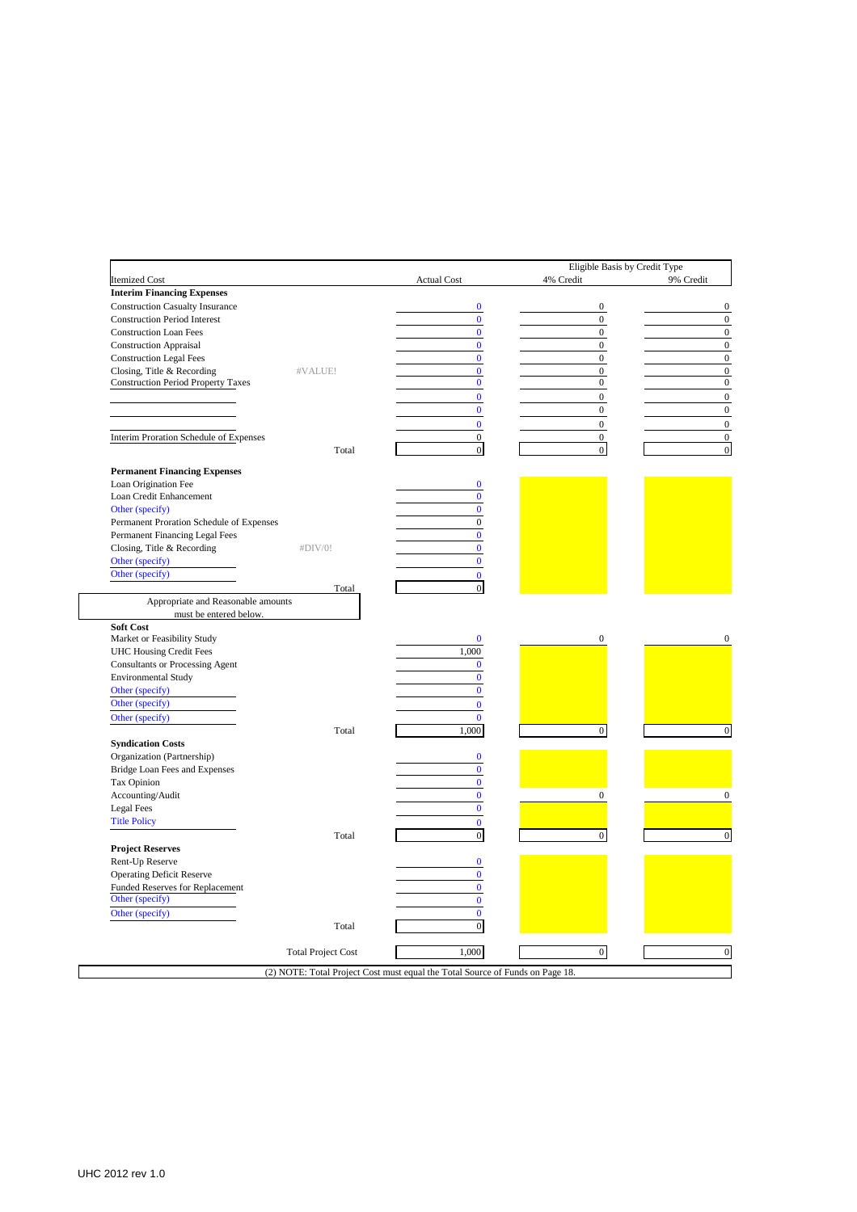|                                           |                           |                                                                               | Eligible Basis by Credit Type |           |
|-------------------------------------------|---------------------------|-------------------------------------------------------------------------------|-------------------------------|-----------|
| <b>Itemized Cost</b>                      |                           | <b>Actual Cost</b>                                                            | 4% Credit                     | 9% Credit |
| <b>Interim Financing Expenses</b>         |                           |                                                                               |                               |           |
| <b>Construction Casualty Insurance</b>    |                           | $\bf{0}$                                                                      | $\boldsymbol{0}$              |           |
| <b>Construction Period Interest</b>       |                           | $\bf{0}$                                                                      | $\overline{0}$                |           |
| <b>Construction Loan Fees</b>             |                           | $\bf{0}$                                                                      | $\mathbf{0}$                  |           |
| <b>Construction Appraisal</b>             |                           | $\bf{0}$                                                                      | $\mathbf{0}$                  |           |
| <b>Construction Legal Fees</b>            |                           | $\bf{0}$                                                                      | $\mathbf{0}$                  |           |
| Closing, Title & Recording<br>#VALUE!     |                           | $\bf{0}$                                                                      | $\mathbf{0}$                  |           |
| <b>Construction Period Property Taxes</b> |                           | $\bf{0}$                                                                      | $\mathbf{0}$                  |           |
|                                           |                           | $\bf{0}$                                                                      | $\mathbf{0}$                  |           |
|                                           |                           | $\bf{0}$                                                                      | $\mathbf{0}$                  |           |
|                                           |                           | $\bf{0}$                                                                      | $\mathbf{0}$                  |           |
| Interim Proration Schedule of Expenses    |                           | $\mathbf{0}$                                                                  | $\mathbf{0}$                  |           |
|                                           | Total                     | $\boldsymbol{0}$                                                              | $\mathbf{0}$                  |           |
| <b>Permanent Financing Expenses</b>       |                           |                                                                               |                               |           |
| Loan Origination Fee                      |                           | $\bf{0}$                                                                      |                               |           |
| Loan Credit Enhancement                   |                           | $\bf{0}$                                                                      |                               |           |
| Other (specify)                           |                           | $\mathbf{0}$                                                                  |                               |           |
| Permanent Proration Schedule of Expenses  |                           | $\boldsymbol{0}$                                                              |                               |           |
| Permanent Financing Legal Fees            |                           | $\bf{0}$                                                                      |                               |           |
| Closing, Title & Recording<br>#DIV/0!     |                           | $\mathbf{0}$                                                                  |                               |           |
| Other (specify)                           |                           | $\bf{0}$                                                                      |                               |           |
| Other (specify)                           |                           | $\mathbf{0}$                                                                  |                               |           |
|                                           | Total                     | $\overline{0}$                                                                |                               |           |
| Appropriate and Reasonable amounts        |                           |                                                                               |                               |           |
| must be entered below.                    |                           |                                                                               |                               |           |
| Soft Cost                                 |                           |                                                                               |                               |           |
| Market or Feasibility Study               |                           | $\bf{0}$                                                                      | $\mathbf{0}$                  |           |
| <b>UHC Housing Credit Fees</b>            |                           | 1,000                                                                         |                               |           |
| <b>Consultants or Processing Agent</b>    |                           | $\mathbf{0}$                                                                  |                               |           |
| <b>Environmental Study</b>                |                           | $\bf{0}$                                                                      |                               |           |
| Other (specify)                           |                           | $\mathbf{0}$                                                                  |                               |           |
| Other (specify)                           |                           | $\bf{0}$                                                                      |                               |           |
| Other (specify)                           |                           | $\mathbf{0}$                                                                  |                               |           |
|                                           | Total                     | 1,000                                                                         | $\boldsymbol{0}$              |           |
| <b>Syndication Costs</b>                  |                           |                                                                               |                               |           |
| Organization (Partnership)                |                           | $\bf{0}$                                                                      |                               |           |
| Bridge Loan Fees and Expenses             |                           | $\mathbf{0}$                                                                  |                               |           |
| Tax Opinion                               |                           | $\bf{0}$                                                                      |                               |           |
|                                           |                           | $\bf{0}$                                                                      | $\boldsymbol{0}$              |           |
| Accounting/Audit                          |                           | $\mathbf{0}$                                                                  |                               |           |
| Legal Fees                                |                           |                                                                               |                               |           |
| <b>Title Policy</b>                       |                           | $\mathbf{0}$                                                                  |                               |           |
|                                           | Total                     | $\boldsymbol{0}$                                                              | $\mathbf{0}$                  |           |
| <b>Project Reserves</b>                   |                           |                                                                               |                               |           |
| Rent-Up Reserve                           |                           | $\bf{0}$                                                                      |                               |           |
| <b>Operating Deficit Reserve</b>          |                           | $\mathbf{0}$                                                                  |                               |           |
| Funded Reserves for Replacement           |                           | $\bf{0}$                                                                      |                               |           |
| Other (specify)                           |                           | $\bf{0}$                                                                      |                               |           |
| Other (specify)                           |                           | $\mathbf{0}$                                                                  |                               |           |
|                                           | Total                     | $\boldsymbol{0}$                                                              |                               |           |
|                                           |                           |                                                                               |                               |           |
|                                           | <b>Total Project Cost</b> | 1,000                                                                         | $\overline{0}$                |           |
|                                           |                           | (2) NOTE: Total Project Cost must equal the Total Source of Funds on Page 18. |                               |           |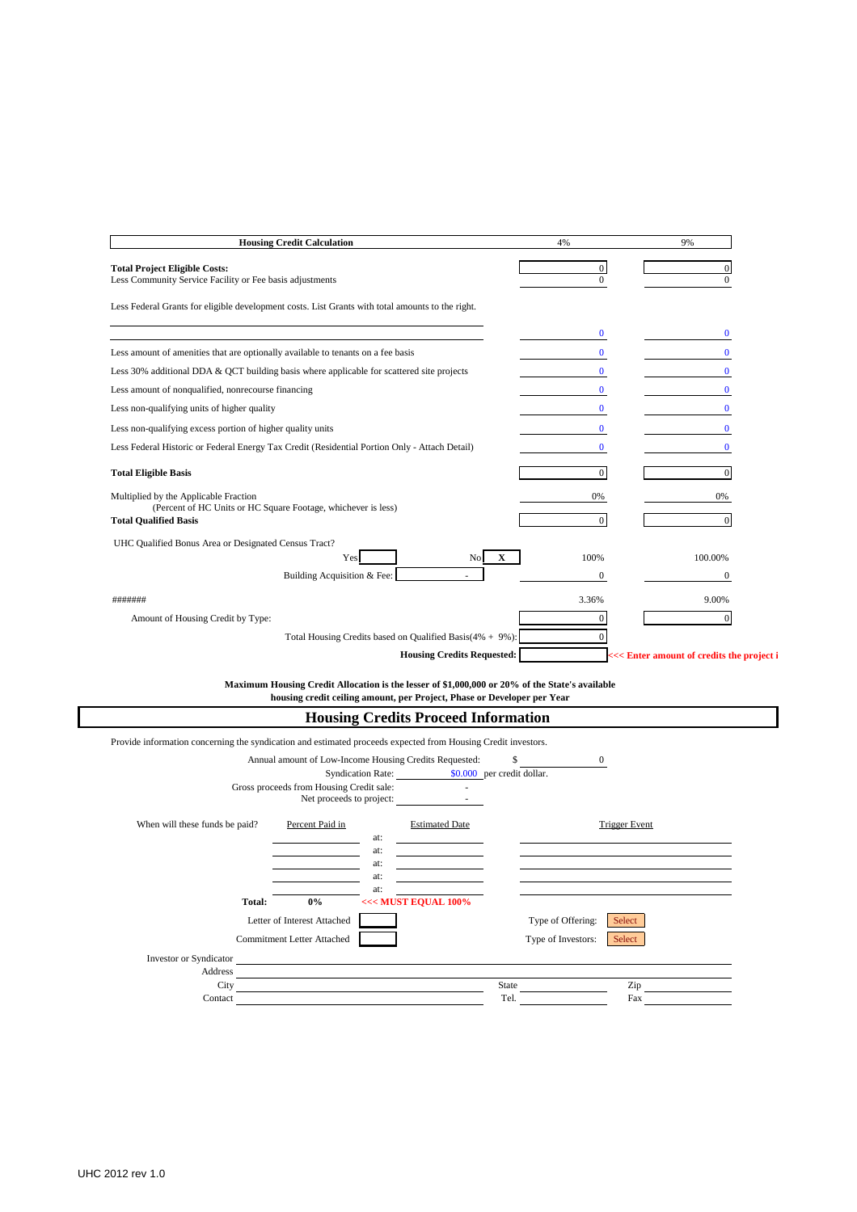| <b>Housing Credit Calculation</b>                                                                      | 4%               | 9%       |
|--------------------------------------------------------------------------------------------------------|------------------|----------|
| <b>Total Project Eligible Costs:</b>                                                                   | $\boldsymbol{0}$ |          |
| Less Community Service Facility or Fee basis adjustments                                               | $\Omega$         | $\Omega$ |
| Less Federal Grants for eligible development costs. List Grants with total amounts to the right.       |                  |          |
|                                                                                                        | $\Omega$         | $\Omega$ |
| Less amount of amenities that are optionally available to tenants on a fee basis                       | 0                |          |
| Less 30% additional DDA $&$ QCT building basis where applicable for scattered site projects            |                  |          |
| Less amount of nonqualified, nonrecourse financing                                                     |                  |          |
| Less non-qualifying units of higher quality                                                            | $\mathbf{0}$     |          |
| Less non-qualifying excess portion of higher quality units                                             | $\bf{0}$         |          |
| Less Federal Historic or Federal Energy Tax Credit (Residential Portion Only - Attach Detail)          | $\bf{0}$         |          |
| <b>Total Eligible Basis</b>                                                                            | $\mathbf{0}$     | $\Omega$ |
| Multiplied by the Applicable Fraction<br>(Percent of HC Units or HC Square Footage, whichever is less) | 0%               | 0%       |
| <b>Total Qualified Basis</b>                                                                           | $\mathbf{0}$     | $\Omega$ |
| UHC Qualified Bonus Area or Designated Census Tract?                                                   |                  |          |
| $\mathbf X$<br>Yes<br>N <sub>0</sub>                                                                   | 100%             | 100.00%  |
| Building Acquisition & Fee:                                                                            | $\mathbf{0}$     | $\bf{0}$ |
| #######                                                                                                | 3.36%            | 9.00%    |
| Amount of Housing Credit by Type:                                                                      | $\Omega$         | $\Omega$ |
| Total Housing Credits based on Qualified Basis(4% + 9%):                                               | 0                |          |
| <b>Housing Credits Requested:</b>                                                                      |                  |          |

**Maximum Housing Credit Allocation is the lesser of \$1,000,000 or 20% of the State's available housing credit ceiling amount, per Project, Phase or Developer per Year**

|                                                                                                               |                                                        |     | <b>Housing Credits Proceed Information</b>                                                                           |       |                              |
|---------------------------------------------------------------------------------------------------------------|--------------------------------------------------------|-----|----------------------------------------------------------------------------------------------------------------------|-------|------------------------------|
| Provide information concerning the syndication and estimated proceeds expected from Housing Credit investors. |                                                        |     |                                                                                                                      |       |                              |
|                                                                                                               | Annual amount of Low-Income Housing Credits Requested: |     |                                                                                                                      | \$.   | $\theta$                     |
|                                                                                                               |                                                        |     | Syndication Rate: \$0.000 per credit dollar.                                                                         |       |                              |
|                                                                                                               | Gross proceeds from Housing Credit sale:               |     | Net proceeds to project:                                                                                             |       |                              |
| When will these funds be paid?                                                                                | Percent Paid in                                        | at: | <b>Estimated Date</b>                                                                                                |       | <b>Trigger Event</b>         |
|                                                                                                               |                                                        | at: |                                                                                                                      |       |                              |
|                                                                                                               |                                                        | at: |                                                                                                                      |       |                              |
|                                                                                                               |                                                        | at: |                                                                                                                      |       |                              |
|                                                                                                               |                                                        | at: |                                                                                                                      |       |                              |
| Total:                                                                                                        | $0\%$                                                  |     | <<< MUST EQUAL 100%                                                                                                  |       |                              |
|                                                                                                               | Letter of Interest Attached                            |     |                                                                                                                      |       | Type of Offering:<br>Select  |
|                                                                                                               | <b>Commitment Letter Attached</b>                      |     |                                                                                                                      |       | Type of Investors:<br>Select |
| Investor or Syndicator                                                                                        |                                                        |     | <u> 1989 - Johann Stein, marwolaethau a bhann an t-Amhain an t-Amhain an t-Amhain an t-Amhain an t-Amhain an t-A</u> |       |                              |
| Address                                                                                                       |                                                        |     |                                                                                                                      |       |                              |
| City                                                                                                          |                                                        |     |                                                                                                                      | State | Zip                          |
| Contact                                                                                                       |                                                        |     |                                                                                                                      | Tel.  | Fax                          |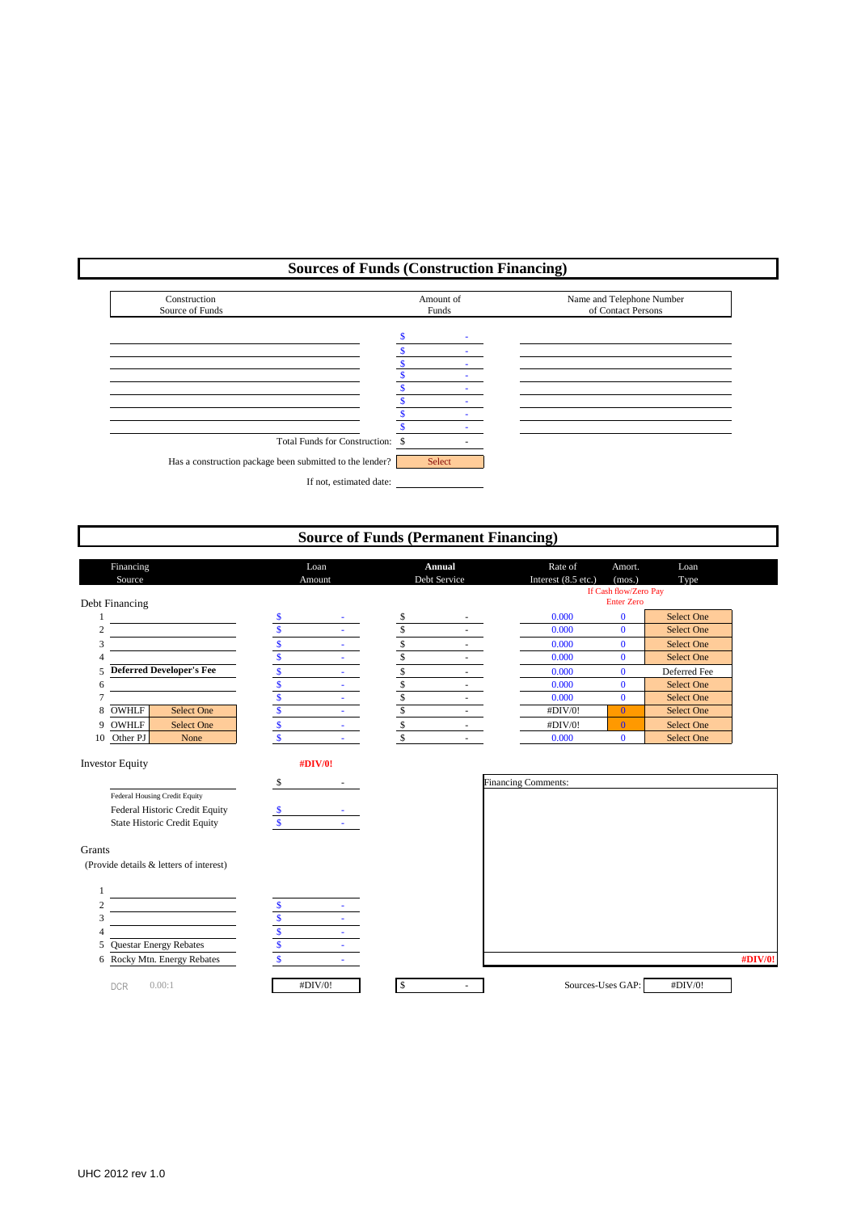# **Sources of Funds (Construction Financing)**



# **Source of Funds (Permanent Financing)**

| Financing                                                             |                                | Loan   |                          | Annual       | Rate of                    | Amort.                                     | Loan              |
|-----------------------------------------------------------------------|--------------------------------|--------|--------------------------|--------------|----------------------------|--------------------------------------------|-------------------|
| Source                                                                |                                | Amount |                          | Debt Service | Interest (8.5 etc.)        | (mos.)                                     | Type              |
|                                                                       |                                |        |                          |              |                            | If Cash flow/Zero Pay<br><b>Enter Zero</b> |                   |
| Debt Financing                                                        |                                |        |                          |              |                            |                                            |                   |
|                                                                       | $\sqrt{\frac{2}{3}}$           |        | $rac{1}{3}$              |              | 0.000                      | $\bf{0}$                                   | <b>Select One</b> |
| $\overline{2}$                                                        | $\mathbf{\hat{s}}$             |        |                          |              | 0.000                      | $\mathbf{0}$                               | <b>Select One</b> |
| 3                                                                     | \$                             |        | \$                       |              | 0.000                      | $\bf{0}$                                   | <b>Select One</b> |
|                                                                       | \$                             |        | \$                       |              | 0.000                      | $\bf{0}$                                   | <b>Select One</b> |
| <b>Deferred Developer's Fee</b><br>5                                  | $\mathsf{\$}$                  |        | \$                       |              | 0.000                      | $\bf{0}$                                   | Deferred Fee      |
| 6                                                                     | \$                             | $\sim$ | \$                       |              | 0.000                      | $\mathbf{0}$                               | <b>Select One</b> |
| 7                                                                     | \$                             |        | \$                       |              | 0.000                      | $\bf{0}$                                   | <b>Select One</b> |
| OWHLF<br><b>Select One</b><br>8                                       | \$                             |        | $\overline{\mathcal{S}}$ |              | #DIV/0!                    | $\overline{0}$                             | <b>Select One</b> |
| OWHLF<br><b>Select One</b><br>9                                       | $\boldsymbol{\mathsf{S}}$      |        | $\mathbb{S}$             |              | #DIV/0!                    | $\bf{0}$                                   | <b>Select One</b> |
| Other PJ<br>None<br>10                                                | $\overline{\mathbf{s}}$        | $\sim$ | $\mathsf{\$}$            | $\sim$       | 0.000                      | $\mathbf{0}$                               | <b>Select One</b> |
| Federal Housing Credit Equity                                         | \$                             |        |                          |              | <b>Financing Comments:</b> |                                            |                   |
| Federal Historic Credit Equity<br><b>State Historic Credit Equity</b> | \$<br>$\mathbf S$              |        |                          |              |                            |                                            |                   |
|                                                                       |                                |        |                          |              |                            |                                            |                   |
| Grants<br>(Provide details & letters of interest)                     |                                |        |                          |              |                            |                                            |                   |
|                                                                       |                                |        |                          |              |                            |                                            |                   |
| 2                                                                     | \$                             |        |                          |              |                            |                                            |                   |
| 3                                                                     | \$                             |        |                          |              |                            |                                            |                   |
| $\overline{A}$                                                        | $\mathsf{\$}$                  |        |                          |              |                            |                                            |                   |
| <b>Questar Energy Rebates</b><br>5<br>Rocky Mtn. Energy Rebates       | $\mathsf{\$}$<br>$\mathbf{\$}$ |        |                          |              |                            |                                            |                   |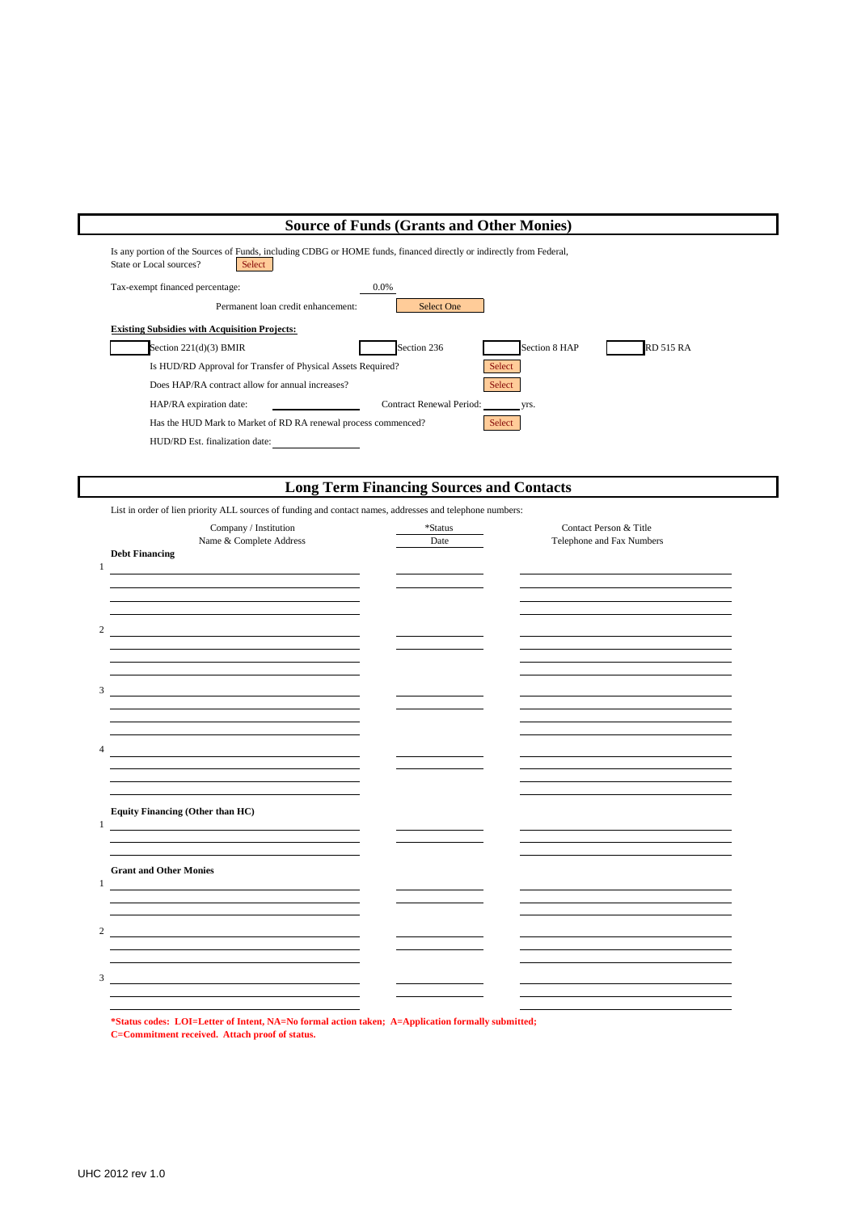# **Source of Funds (Grants and Other Monies)**

| Is any portion of the Sources of Funds, including CDBG or HOME funds, financed directly or indirectly from Federal,<br>Select<br>State or Local sources? |
|----------------------------------------------------------------------------------------------------------------------------------------------------------|
| Tax-exempt financed percentage:<br>$0.0\%$                                                                                                               |
| Permanent loan credit enhancement:<br>Select One                                                                                                         |
| <b>Existing Subsidies with Acquisition Projects:</b>                                                                                                     |
| <b>RD 515 RA</b><br>Section 236<br>Section 8 HAP<br>Section $221(d)(3)$ BMIR                                                                             |
| Select<br>Is HUD/RD Approval for Transfer of Physical Assets Required?                                                                                   |
| Does HAP/RA contract allow for annual increases?<br>Select                                                                                               |
| Contract Renewal Period:<br>HAP/RA expiration date:<br>VIS.                                                                                              |
| Has the HUD Mark to Market of RD RA renewal process commenced?<br>Select                                                                                 |
| HUD/RD Est. finalization date:                                                                                                                           |

# **Long Term Financing Sources and Contacts**

List in order of lien priority ALL sources of funding and contact names, addresses and telephone numbers:

|                | Company / Institution<br>Name & Complete Address                                                                                                       | *Status<br>Date | Contact Person & Title<br>Telephone and Fax Numbers |  |
|----------------|--------------------------------------------------------------------------------------------------------------------------------------------------------|-----------------|-----------------------------------------------------|--|
| $\mathbf{1}$   | <b>Debt Financing</b><br><u> 1989 - Johann Stein, fransk politiker (d. 1989)</u>                                                                       |                 |                                                     |  |
|                |                                                                                                                                                        |                 |                                                     |  |
| 2              |                                                                                                                                                        |                 |                                                     |  |
|                |                                                                                                                                                        |                 |                                                     |  |
|                |                                                                                                                                                        |                 |                                                     |  |
| 3              | <u> 1989 - Johann Stein, fransk politik (f. 1989)</u>                                                                                                  |                 |                                                     |  |
|                |                                                                                                                                                        |                 |                                                     |  |
|                |                                                                                                                                                        |                 |                                                     |  |
| $\overline{4}$ |                                                                                                                                                        |                 |                                                     |  |
|                |                                                                                                                                                        |                 |                                                     |  |
|                |                                                                                                                                                        |                 |                                                     |  |
|                |                                                                                                                                                        |                 |                                                     |  |
| 1              | <b>Equity Financing (Other than HC)</b>                                                                                                                |                 |                                                     |  |
|                |                                                                                                                                                        |                 |                                                     |  |
|                |                                                                                                                                                        |                 |                                                     |  |
| 1              | <b>Grant and Other Monies</b><br><u> 1980 - Johann Stoff, deutscher Stoffen und der Stoffen und der Stoffen und der Stoffen und der Stoffen und de</u> |                 |                                                     |  |
|                |                                                                                                                                                        |                 |                                                     |  |
|                |                                                                                                                                                        |                 |                                                     |  |
| $\overline{c}$ | the contract of the contract of the contract of the contract of the contract of                                                                        |                 |                                                     |  |
|                |                                                                                                                                                        |                 |                                                     |  |
|                |                                                                                                                                                        |                 |                                                     |  |
| 3              |                                                                                                                                                        |                 |                                                     |  |
|                |                                                                                                                                                        |                 |                                                     |  |
|                |                                                                                                                                                        |                 |                                                     |  |

**\*Status codes: LOI=Letter of Intent, NA=No formal action taken; A=Application formally submitted; C=Commitment received. Attach proof of status.**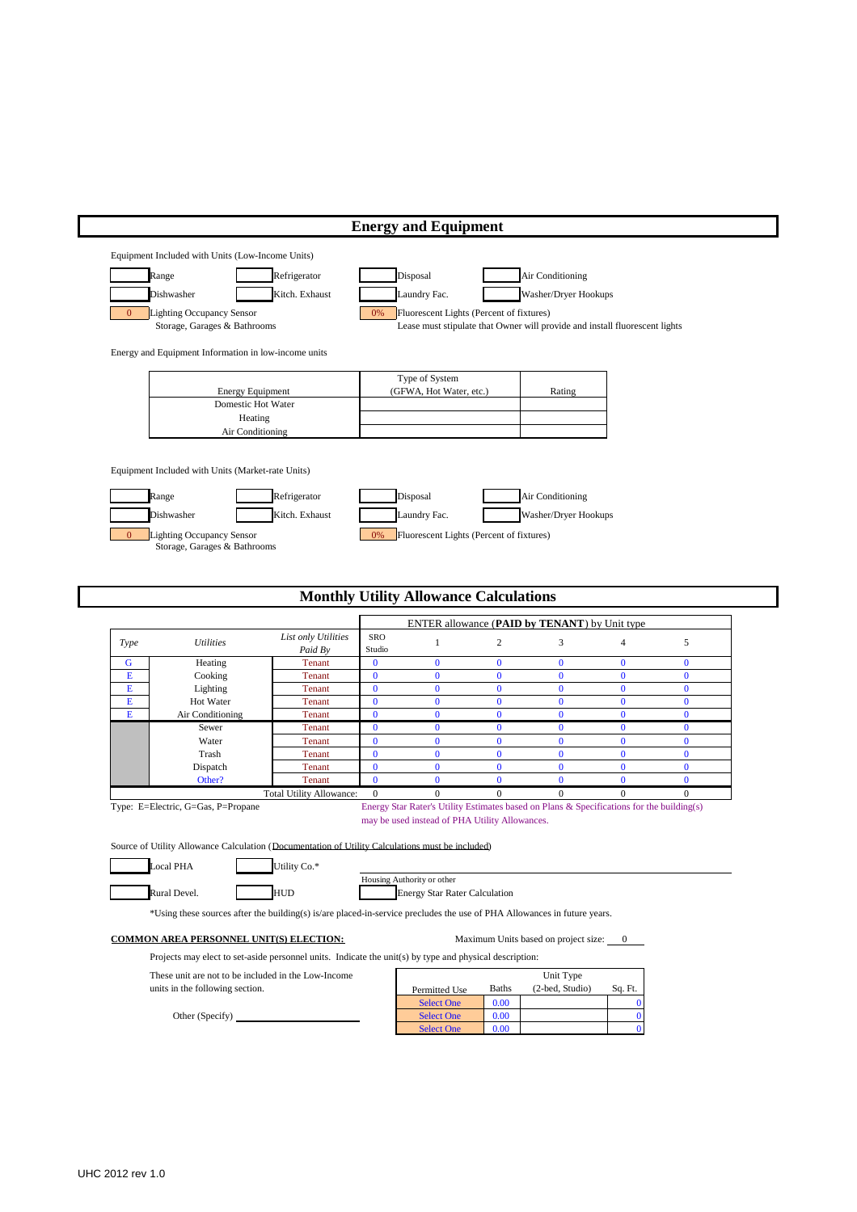|                |                                                                                                                                                                                                   |                                 |                          | <b>Energy and Equipment</b>                                          |                      |                                                                                                           |                      |                      |
|----------------|---------------------------------------------------------------------------------------------------------------------------------------------------------------------------------------------------|---------------------------------|--------------------------|----------------------------------------------------------------------|----------------------|-----------------------------------------------------------------------------------------------------------|----------------------|----------------------|
|                | Equipment Included with Units (Low-Income Units)                                                                                                                                                  |                                 |                          |                                                                      |                      |                                                                                                           |                      |                      |
|                | Range<br>Dishwasher                                                                                                                                                                               | Refrigerator<br>Kitch. Exhaust  |                          | Disposal<br>Laundry Fac.                                             |                      | Air Conditioning<br>Washer/Dryer Hookups                                                                  |                      |                      |
| $\overline{0}$ | <b>Lighting Occupancy Sensor</b><br>Storage, Garages & Bathrooms                                                                                                                                  |                                 | 0%                       | Fluorescent Lights (Percent of fixtures)                             |                      | Lease must stipulate that Owner will provide and install fluorescent lights                               |                      |                      |
|                | Energy and Equipment Information in low-income units                                                                                                                                              |                                 |                          |                                                                      |                      |                                                                                                           |                      |                      |
|                |                                                                                                                                                                                                   |                                 |                          | Type of System                                                       |                      |                                                                                                           |                      |                      |
|                | <b>Energy Equipment</b>                                                                                                                                                                           |                                 |                          | (GFWA, Hot Water, etc.)                                              |                      | Rating                                                                                                    |                      |                      |
|                | Domestic Hot Water                                                                                                                                                                                |                                 |                          |                                                                      |                      |                                                                                                           |                      |                      |
|                | Heating<br>Air Conditioning                                                                                                                                                                       |                                 |                          |                                                                      |                      |                                                                                                           |                      |                      |
| $\overline{0}$ | Equipment Included with Units (Market-rate Units)<br>Range<br>Dishwasher<br><b>Lighting Occupancy Sensor</b><br>Storage, Garages & Bathrooms                                                      | Refrigerator<br>Kitch. Exhaust  | 0%                       | Disposal<br>Laundry Fac.<br>Fluorescent Lights (Percent of fixtures) |                      | Air Conditioning<br>Washer/Dryer Hookups                                                                  |                      |                      |
|                |                                                                                                                                                                                                   |                                 |                          | <b>Monthly Utility Allowance Calculations</b>                        |                      |                                                                                                           |                      |                      |
|                |                                                                                                                                                                                                   |                                 |                          |                                                                      |                      | ENTER allowance (PAID by TENANT) by Unit type                                                             |                      |                      |
| <b>Type</b>    | <b>Utilities</b>                                                                                                                                                                                  | List only Utilities<br>Paid By  | SRO<br>Studio            | $\mathbf{1}$                                                         | $\sqrt{2}$           | 3                                                                                                         | $\overline{4}$       | 5                    |
| G              | Heating                                                                                                                                                                                           | <b>Tenant</b>                   | $\bf{0}$                 | $\bf{0}$                                                             | $\bf{0}$             | $\bf{0}$                                                                                                  | $\bf{0}$             | $\bf{0}$             |
| Е              | Cooking                                                                                                                                                                                           | <b>Tenant</b>                   | $\bf{0}$                 | $\bf{0}$                                                             | $\bf{0}$             | $\mathbf{0}$                                                                                              | $\bf{0}$             | $\bf{0}$             |
| Е              | Lighting                                                                                                                                                                                          | Tenant<br><b>Tenant</b>         | $\bf{0}$                 | $\bf{0}$                                                             | $\bf{0}$             | $\bf{0}$                                                                                                  | $\bf{0}$             | $\bf{0}$             |
|                |                                                                                                                                                                                                   |                                 |                          |                                                                      |                      |                                                                                                           |                      |                      |
| Е              | Hot Water                                                                                                                                                                                         |                                 | $\bf{0}$                 | $\bf{0}$                                                             | $\bf{0}$             | $\mathbf{0}$                                                                                              | $\bf{0}$             | $\bf{0}$             |
| Е              | Air Conditioning<br>Sewer                                                                                                                                                                         | <b>Tenant</b><br><b>Tenant</b>  | $\mathbf{0}$<br>$\bf{0}$ | $\bf{0}$<br>$\bf{0}$                                                 | $\bf{0}$<br>$\bf{0}$ | $\bf{0}$<br>$\bf{0}$                                                                                      | $\bf{0}$<br>$\bf{0}$ | $\bf{0}$<br>$\bf{0}$ |
|                | Water                                                                                                                                                                                             | <b>Tenant</b>                   | $\bf{0}$                 | $\bf{0}$                                                             | $\bf{0}$             | $\bf{0}$                                                                                                  | $\bf{0}$             | $\bf{0}$             |
|                | Trash                                                                                                                                                                                             | <b>Tenant</b>                   | $\overline{0}$           | $\bf{0}$                                                             | $\bf{0}$             | $\mathbf{0}$                                                                                              | $\bf{0}$             | $\bf{0}$             |
|                | Dispatch                                                                                                                                                                                          | <b>Tenant</b>                   | $\bf{0}$                 | $\bf{0}$                                                             | $\mathbf{0}$         | $\bf{0}$                                                                                                  | $\bf{0}$             | $\bf{0}$             |
|                | Other?                                                                                                                                                                                            | <b>Tenant</b>                   | $\overline{0}$           | $\bf{0}$                                                             | $\bf{0}$             | $\bf{0}$                                                                                                  | $\bf{0}$             | $\bf{0}$             |
|                | Type: E=Electric, G=Gas, P=Propane                                                                                                                                                                | <b>Total Utility Allowance:</b> | $\mathbf{0}$             | $\Omega$<br>may be used instead of PHA Utility Allowances.           | $\mathbf{0}$         | $\mathbf{0}$<br>Energy Star Rater's Utility Estimates based on Plans & Specifications for the building(s) | $\mathbf{0}$         | $\mathbf{0}$         |
|                | Source of Utility Allowance Calculation (Documentation of Utility Calculations must be included)                                                                                                  |                                 |                          |                                                                      |                      |                                                                                                           |                      |                      |
|                | <b>Local PHA</b>                                                                                                                                                                                  | Utility Co.*                    |                          | Housing Authority or other                                           |                      |                                                                                                           |                      |                      |
|                | Rural Devel.                                                                                                                                                                                      | HUD                             |                          | <b>Energy Star Rater Calculation</b>                                 |                      |                                                                                                           |                      |                      |
|                | *Using these sources after the building(s) is/are placed-in-service precludes the use of PHA Allowances in future years.                                                                          |                                 |                          |                                                                      |                      |                                                                                                           |                      |                      |
|                | <b>COMMON AREA PERSONNEL UNIT(S) ELECTION:</b>                                                                                                                                                    |                                 |                          |                                                                      |                      | Maximum Units based on project size: 0                                                                    |                      |                      |
|                | Projects may elect to set-aside personnel units. Indicate the unit(s) by type and physical description:<br>These unit are not to be included in the Low-Income<br>units in the following section. |                                 |                          | Permitted Use                                                        | <b>Baths</b>         | Unit Type<br>(2-bed, Studio)                                                                              | Sq. Ft.              |                      |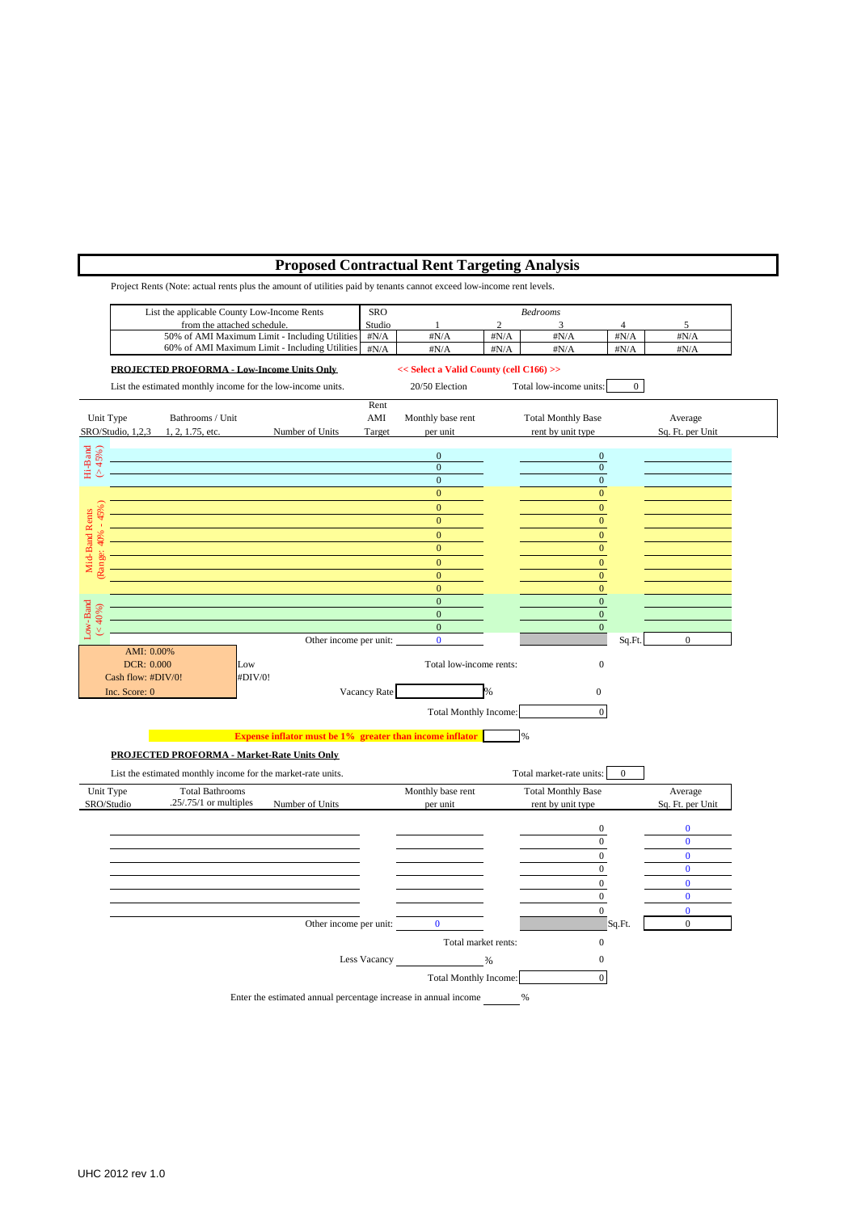## **Proposed Contractual Rent Targeting Analysis**

Project Rents (Note: actual rents plus the amount of utilities paid by tenants cannot exceed low-income rent levels. List the applicable County Low-Income Rents SRO *Bedrooms* from the attached schedule. Studio  $\frac{1}{2}$  3<br>
Studio  $\frac{1}{4N/A}$   $\frac{2}{\frac{4N}{A}}$   $\frac{3}{\frac{4N}{A}}$ 50% of AMI Maximum Limit - Including Utilities #N/A #N/A #N/A #N/A #N/A #N/A 60% of AMI Maximum Limit - Including Utilities  $\frac{1}{\text{H}N/A}$ #N/A #N/A #N/A #N/A #N/A #N/A **PROJECTED PROFORMA - Low-Income Units Only << Select a Valid County (cell C166) >>** List the estimated monthly income for the low-income units. 20/50 Election Total low-income units: 0 Deep Skewing Rent Unit Type Bathrooms / Unit AMI Monthly base rent Total Monthly Base Average SRO/Studio, 1,2,3 1, 2, 1.75, etc. Number of Units Target per unit rent by unit type Sq. Ft. per Unit Hi-Band (> 45%)  $0 \hspace{2.5cm} 0$  $0 \hspace{2.5cm} 0$  $0 \hspace{2.5cm} 0$  $\mathbf 0$ (Range: 40% - 45%)  $\mathbf 0$ Mid-Band Rents<br>
Range: 40% - 45% Mid-Band Rents  $\mathbf 0$  $\mathbf 0$  $\mathbf 0$  $\mathbf 0$  $\mathbf 0$  $\mathbf 0$  $\text{Cov-Band}$ <br>  $(40\%)$  $0$  0  $0$ (< 40%)  $0 \hspace{2.5cm} 0$  $0 \hspace{2.5cm} 0$ Other income per unit: 0 0 Sq.Ft. AMI: 0.00% DCR: 0.000 Low Low Total low-income rents: 0 Cash flow:  $#DIV/0!$   $#DIV/0!$ Vacancy Rate  $\text{Inc. Score: } 0$   $\qquad \qquad \text{Vacancy Rate}$  9% 0 Total Monthly Income: 0 **Expense inflator must be 1% greater than income inflator** % **PROJECTED PROFORMA - Market-Rate Units Only** List the estimated monthly income for the market-rate units. Total market-rate units: 0 Unit Type Total Bathrooms Monthly base rent Total Monthly Base Average Total Bathrooms SRO/Studio .25/.75/1 or multiples Number of Units per unit rent by unit type Sq. Ft. per Unit 0 0 0 0 0 0 0 0 0 0 0 0 0 0 0 0 0 0 0 0 0 Other income per unit: 0 0 Sq.Ft. 0 Total market rents: 0 Less Vacancy 26 20 20 Total Monthly Income: 0 Enter the estimated annual percentage increase in annual income %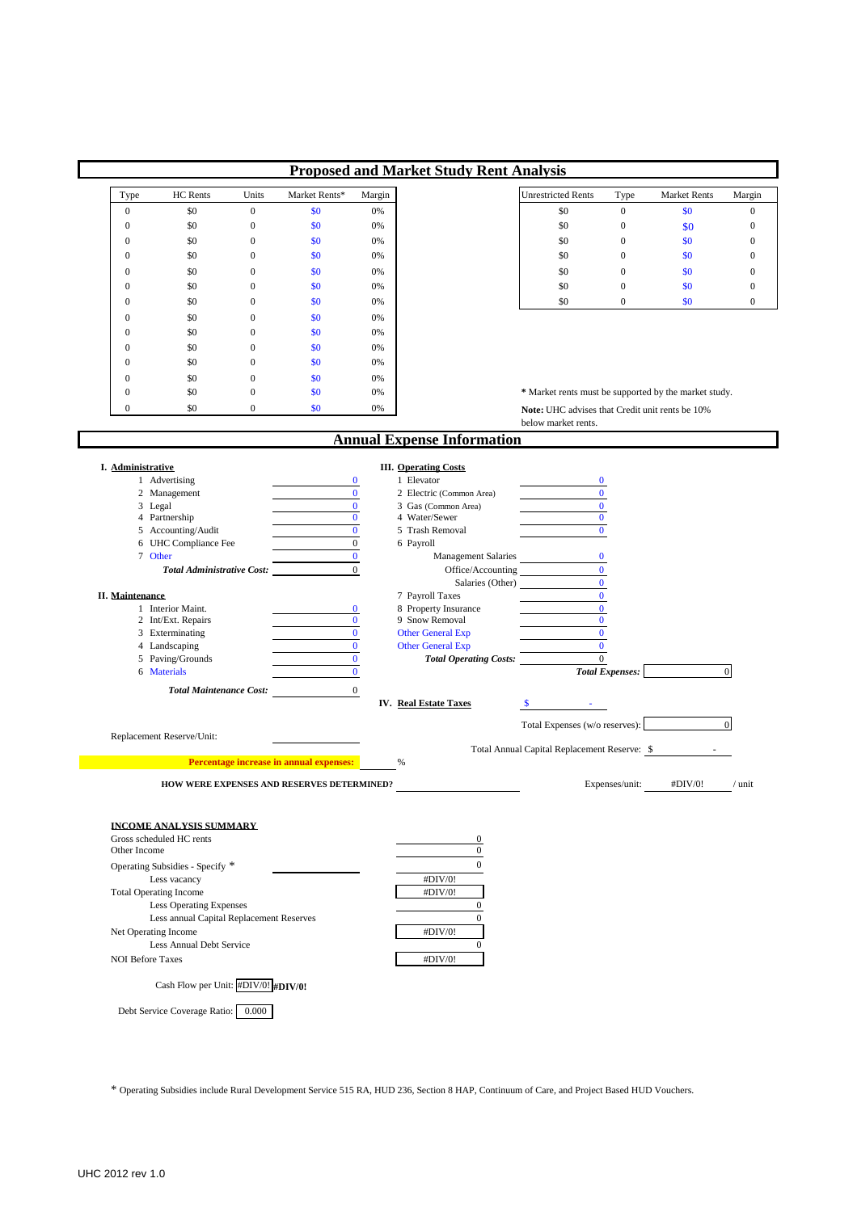|                               |                                                                           |                              |                                            |                          | <b>Proposed and Market Study Rent Analysis</b>            |                                                       |                        |                     |                  |
|-------------------------------|---------------------------------------------------------------------------|------------------------------|--------------------------------------------|--------------------------|-----------------------------------------------------------|-------------------------------------------------------|------------------------|---------------------|------------------|
| Type                          | HC Rents                                                                  | Units                        | Market Rents*                              | Margin                   |                                                           | <b>Unrestricted Rents</b>                             | Type                   | <b>Market Rents</b> | Margin           |
| $\mathbf{0}$                  | \$0                                                                       | $\boldsymbol{0}$             | \$0                                        | 0%                       |                                                           | \$0                                                   | $\boldsymbol{0}$       | \$0                 | $\overline{0}$   |
| $\mathbf{0}$                  | \$0                                                                       | $\boldsymbol{0}$             | \$0                                        | 0%                       |                                                           | \$0                                                   | $\boldsymbol{0}$       | \$0                 | $\boldsymbol{0}$ |
| $\mathbf{0}$                  | \$0                                                                       | $\boldsymbol{0}$             | \$0                                        | 0%                       |                                                           | \$0                                                   | $\boldsymbol{0}$       | \$0                 | $\boldsymbol{0}$ |
| $\boldsymbol{0}$              | \$0                                                                       | $\boldsymbol{0}$             | \$0                                        | 0%                       |                                                           | \$0                                                   | $\boldsymbol{0}$       | \$0                 | $\boldsymbol{0}$ |
| $\mathbf{0}$                  | \$0<br>\$0                                                                | $\mathbf{0}$<br>$\mathbf{0}$ | \$0                                        | 0%                       |                                                           | \$0                                                   | $\mathbf{0}$           | \$0<br>\$0          | $\mathbf{0}$     |
| $\mathbf{0}$                  |                                                                           |                              | \$0                                        | 0%                       |                                                           | \$0                                                   | $\boldsymbol{0}$       |                     | $\boldsymbol{0}$ |
| $\boldsymbol{0}$              | \$0                                                                       | $\boldsymbol{0}$             | \$0                                        | 0%                       |                                                           | \$0                                                   | $\boldsymbol{0}$       | \$0                 | $\boldsymbol{0}$ |
| $\mathbf{0}$<br>$\mathbf{0}$  | \$0<br>\$0                                                                | $\boldsymbol{0}$<br>0        | \$0<br>\$0                                 | 0%<br>0%                 |                                                           |                                                       |                        |                     |                  |
| $\mathbf{0}$                  | \$0                                                                       | $\boldsymbol{0}$             | \$0                                        | 0%                       |                                                           |                                                       |                        |                     |                  |
| $\boldsymbol{0}$              | \$0                                                                       | $\boldsymbol{0}$             | \$0                                        | 0%                       |                                                           |                                                       |                        |                     |                  |
| $\mathbf{0}$                  | \$0                                                                       | $\boldsymbol{0}$             | \$0                                        | 0%                       |                                                           |                                                       |                        |                     |                  |
| $\mathbf{0}$                  | \$0                                                                       | $\overline{0}$               | \$0                                        | 0%                       |                                                           | * Market rents must be supported by the market study. |                        |                     |                  |
| $\mathbf{0}$                  | \$0                                                                       | $\overline{0}$               | \$0                                        | 0%                       |                                                           | Note: UHC advises that Credit unit rents be 10%       |                        |                     |                  |
|                               |                                                                           |                              |                                            |                          |                                                           | below market rents.                                   |                        |                     |                  |
|                               |                                                                           |                              |                                            |                          | <b>Annual Expense Information</b>                         |                                                       |                        |                     |                  |
| I. Administrative             |                                                                           |                              |                                            |                          | <b>III.</b> Operating Costs                               |                                                       |                        |                     |                  |
|                               | 1 Advertising                                                             |                              |                                            | $\bf{0}$                 | 1 Elevator                                                | $\bf{0}$                                              |                        |                     |                  |
|                               | 2 Management                                                              |                              |                                            | $\bf{0}$                 | 2 Electric (Common Area)                                  | $\bf{0}$                                              |                        |                     |                  |
| 3 Legal                       | 4 Partnership                                                             |                              |                                            | $\bf{0}$<br>$\mathbf{0}$ | 3 Gas (Common Area)<br>4 Water/Sewer                      | $\bf{0}$<br>$\bf{0}$                                  |                        |                     |                  |
|                               | 5 Accounting/Audit                                                        |                              |                                            | $\mathbf{0}$             | 5 Trash Removal                                           | $\mathbf{0}$                                          |                        |                     |                  |
|                               | 6 UHC Compliance Fee                                                      |                              |                                            | $\mathbf{0}$             | 6 Payroll                                                 |                                                       |                        |                     |                  |
| 7 Other                       |                                                                           |                              |                                            | $\bf{0}$                 | Management Salaries                                       | $\bf{0}$                                              |                        |                     |                  |
|                               | <b>Total Administrative Cost:</b>                                         |                              |                                            | $\boldsymbol{0}$         | Office/Accounting                                         | $\bf{0}$                                              |                        |                     |                  |
| <b>II.</b> Maintenance        |                                                                           |                              |                                            |                          | 7 Payroll Taxes                                           | $\bf{0}$<br>Salaries (Other)<br>$\bf{0}$              |                        |                     |                  |
|                               | 1 Interior Maint.                                                         |                              |                                            | $\bf{0}$                 | 8 Property Insurance                                      | $\bf{0}$                                              |                        |                     |                  |
|                               | 2 Int/Ext. Repairs                                                        |                              |                                            | $\bf{0}$                 | 9 Snow Removal                                            | $\bf{0}$                                              |                        |                     |                  |
|                               | 3 Exterminating                                                           |                              |                                            | $\bf{0}$<br>$\bf{0}$     | <b>Other General Exp</b>                                  | $\bf{0}$<br>$\bf{0}$                                  |                        |                     |                  |
|                               | 4 Landscaping<br>5 Paving/Grounds                                         |                              |                                            | $\bf{0}$                 | <b>Other General Exp</b><br><b>Total Operating Costs:</b> | $\boldsymbol{0}$                                      |                        |                     |                  |
|                               | 6 Materials                                                               |                              |                                            | $\bf{0}$                 |                                                           |                                                       | <b>Total Expenses:</b> |                     | $\mathbf{0}$     |
|                               | <b>Total Maintenance Cost:</b>                                            |                              |                                            | $\mathbf{0}$             |                                                           |                                                       |                        |                     |                  |
|                               |                                                                           |                              |                                            |                          | <b>IV.</b> Real Estate Taxes                              | <b>S</b>                                              |                        |                     |                  |
|                               |                                                                           |                              |                                            |                          |                                                           | Total Expenses (w/o reserves):                        |                        |                     | $\mathbf 0$      |
|                               | Replacement Reserve/Unit:                                                 |                              |                                            |                          |                                                           | Total Annual Capital Replacement Reserve: \$          |                        |                     |                  |
|                               |                                                                           |                              | Percentage increase in annual expenses:    |                          | %                                                         |                                                       |                        |                     |                  |
|                               |                                                                           |                              | HOW WERE EXPENSES AND RESERVES DETERMINED? |                          |                                                           |                                                       | Expenses/unit:         | #DIV/0!             | $/$ unit         |
|                               |                                                                           |                              |                                            |                          |                                                           |                                                       |                        |                     |                  |
|                               | <b>INCOME ANALYSIS SUMMARY</b>                                            |                              |                                            |                          |                                                           |                                                       |                        |                     |                  |
| Other Income                  | Gross scheduled HC rents                                                  |                              |                                            |                          | $\bf{0}$<br>$\boldsymbol{0}$                              |                                                       |                        |                     |                  |
|                               | Operating Subsidies - Specify *                                           |                              |                                            |                          | $\boldsymbol{0}$                                          |                                                       |                        |                     |                  |
|                               | Less vacancy                                                              |                              |                                            |                          | #DIV/0!                                                   |                                                       |                        |                     |                  |
| <b>Total Operating Income</b> |                                                                           |                              |                                            |                          | #DIV/0!                                                   |                                                       |                        |                     |                  |
|                               | Less Operating Expenses                                                   |                              |                                            |                          | $\boldsymbol{0}$                                          |                                                       |                        |                     |                  |
|                               | Less annual Capital Replacement Reserves                                  |                              |                                            |                          | $\boldsymbol{0}$                                          |                                                       |                        |                     |                  |
| Net Operating Income          | Less Annual Debt Service                                                  |                              |                                            |                          | #DIV/0!<br>$\bf{0}$                                       |                                                       |                        |                     |                  |
|                               |                                                                           |                              |                                            |                          | #DIV/0!                                                   |                                                       |                        |                     |                  |
| <b>NOI Before Taxes</b>       |                                                                           |                              |                                            |                          |                                                           |                                                       |                        |                     |                  |
|                               |                                                                           |                              |                                            |                          |                                                           |                                                       |                        |                     |                  |
|                               | Cash Flow per Unit: #DIV/0! #DIV/0!<br>Debt Service Coverage Ratio: 0.000 |                              |                                            |                          |                                                           |                                                       |                        |                     |                  |

\* Operating Subsidies include Rural Development Service 515 RA, HUD 236, Section 8 HAP, Continuum of Care, and Project Based HUD Vouchers.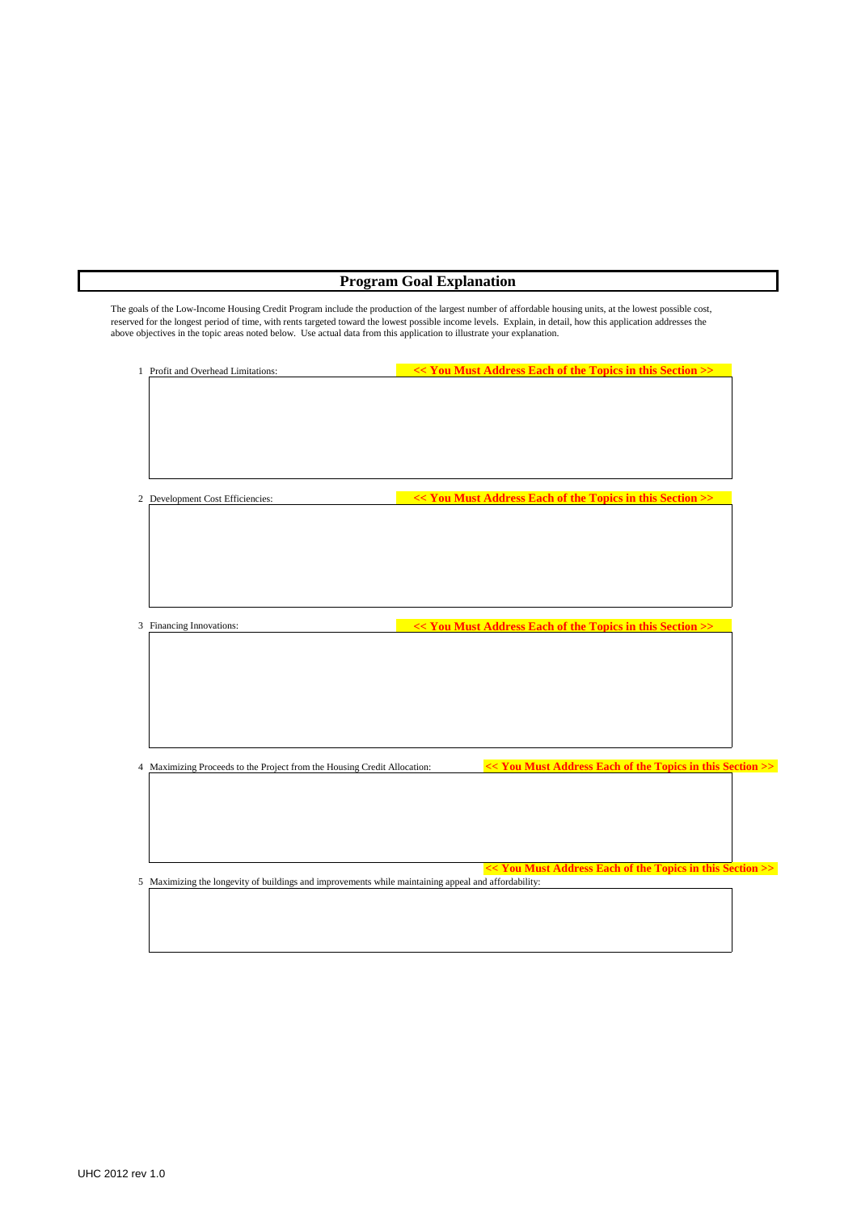# **Program Goal Explanation**

The goals of the Low-Income Housing Credit Program include the production of the largest number of affordable housing units, at the lowest possible cost, reserved for the longest period of time, with rents targeted toward the lowest possible income levels. Explain, in detail, how this application addresses the above objectives in the topic areas noted below. Use actual data from this application to illustrate your explanation.

| 1 Profit and Overhead Limitations:                                                                   | << You Must Address Each of the Topics in this Section >> |  |
|------------------------------------------------------------------------------------------------------|-----------------------------------------------------------|--|
|                                                                                                      |                                                           |  |
|                                                                                                      |                                                           |  |
|                                                                                                      |                                                           |  |
|                                                                                                      |                                                           |  |
|                                                                                                      |                                                           |  |
|                                                                                                      |                                                           |  |
| 2 Development Cost Efficiencies:                                                                     | << You Must Address Each of the Topics in this Section >> |  |
|                                                                                                      |                                                           |  |
|                                                                                                      |                                                           |  |
|                                                                                                      |                                                           |  |
|                                                                                                      |                                                           |  |
|                                                                                                      |                                                           |  |
|                                                                                                      |                                                           |  |
|                                                                                                      |                                                           |  |
| 3 Financing Innovations:                                                                             | << You Must Address Each of the Topics in this Section >> |  |
|                                                                                                      |                                                           |  |
|                                                                                                      |                                                           |  |
|                                                                                                      |                                                           |  |
|                                                                                                      |                                                           |  |
|                                                                                                      |                                                           |  |
|                                                                                                      |                                                           |  |
|                                                                                                      | << You Must Address Each of the Topics in this Section >> |  |
| 4 Maximizing Proceeds to the Project from the Housing Credit Allocation:                             |                                                           |  |
|                                                                                                      |                                                           |  |
|                                                                                                      |                                                           |  |
|                                                                                                      |                                                           |  |
|                                                                                                      |                                                           |  |
|                                                                                                      | << You Must Address Each of the Topics in this Section >> |  |
| 5 Maximizing the longevity of buildings and improvements while maintaining appeal and affordability: |                                                           |  |
|                                                                                                      |                                                           |  |
|                                                                                                      |                                                           |  |
|                                                                                                      |                                                           |  |
|                                                                                                      |                                                           |  |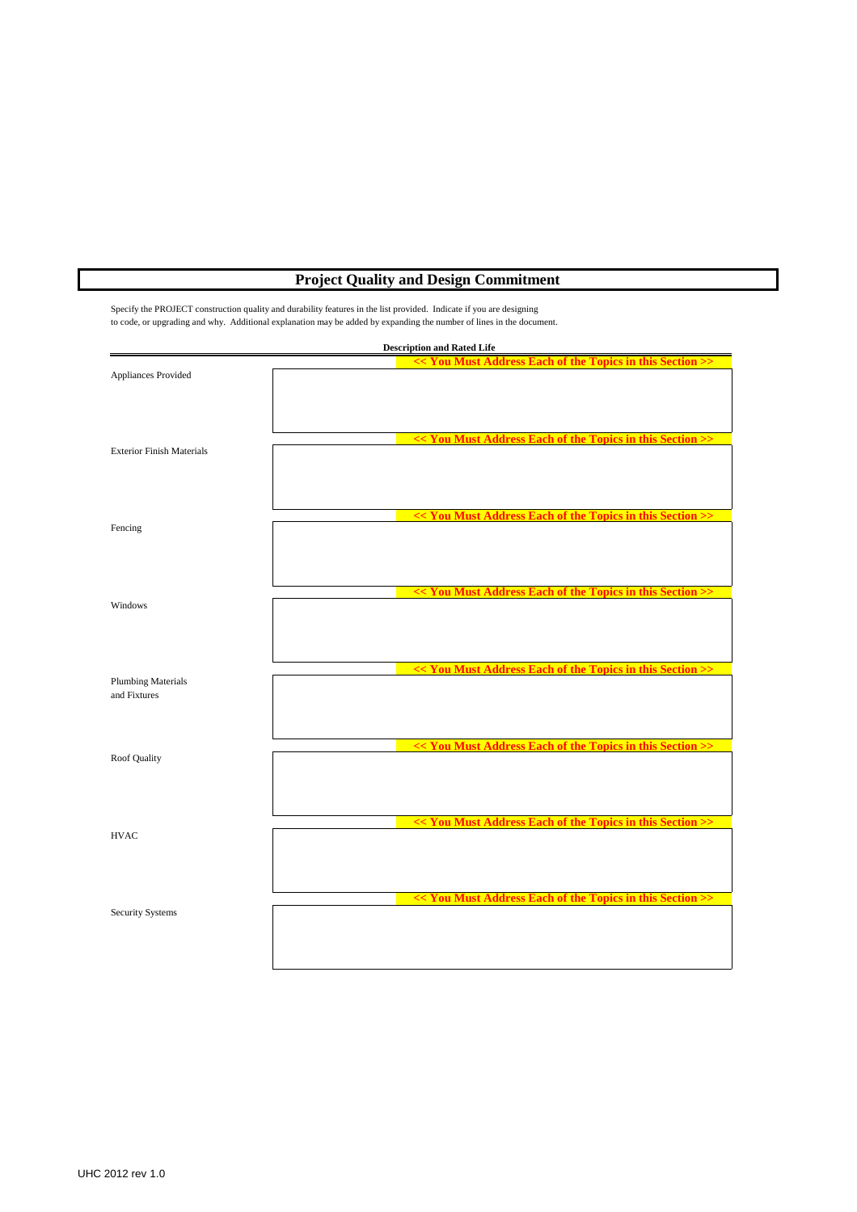# **Project Quality and Design Commitment**

Specify the PROJECT construction quality and durability features in the list provided. Indicate if you are designing to code, or upgrading and why. Additional explanation may be added by expanding the number of lines in the document.

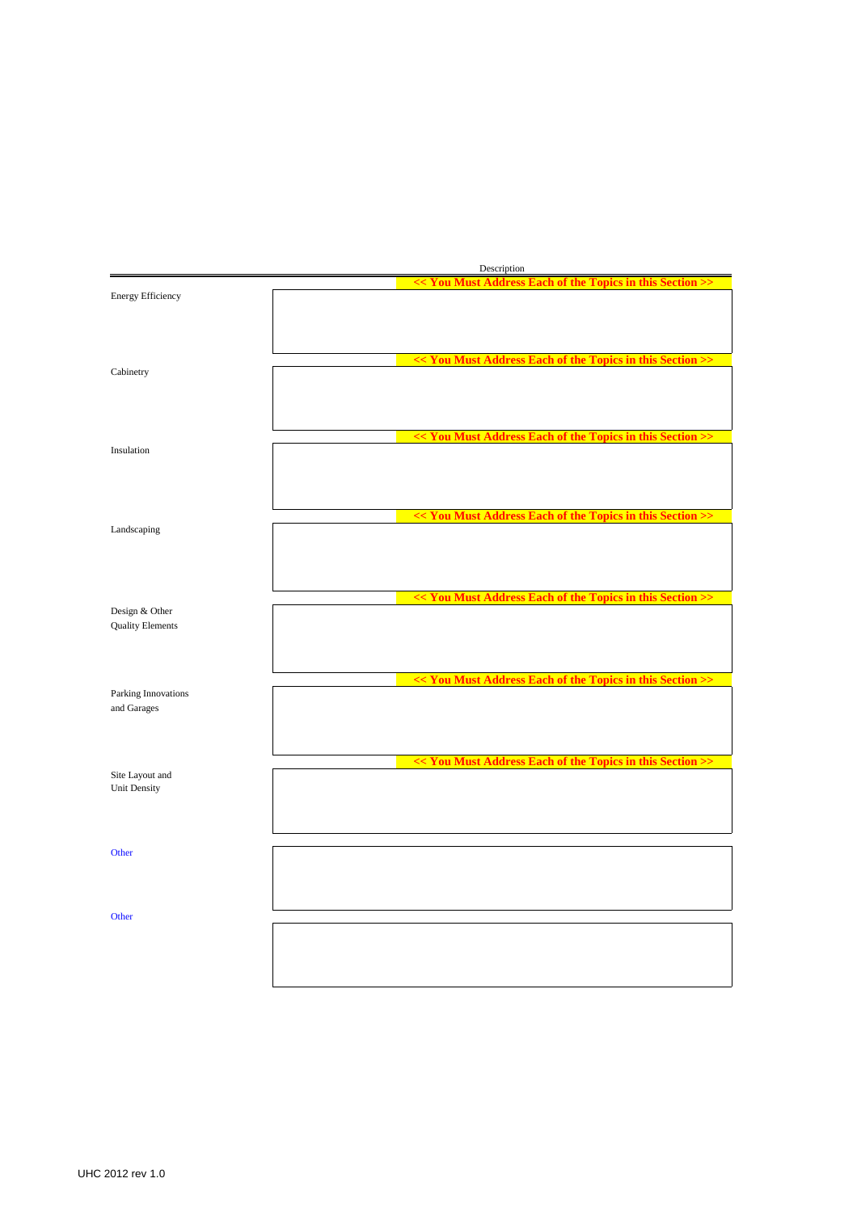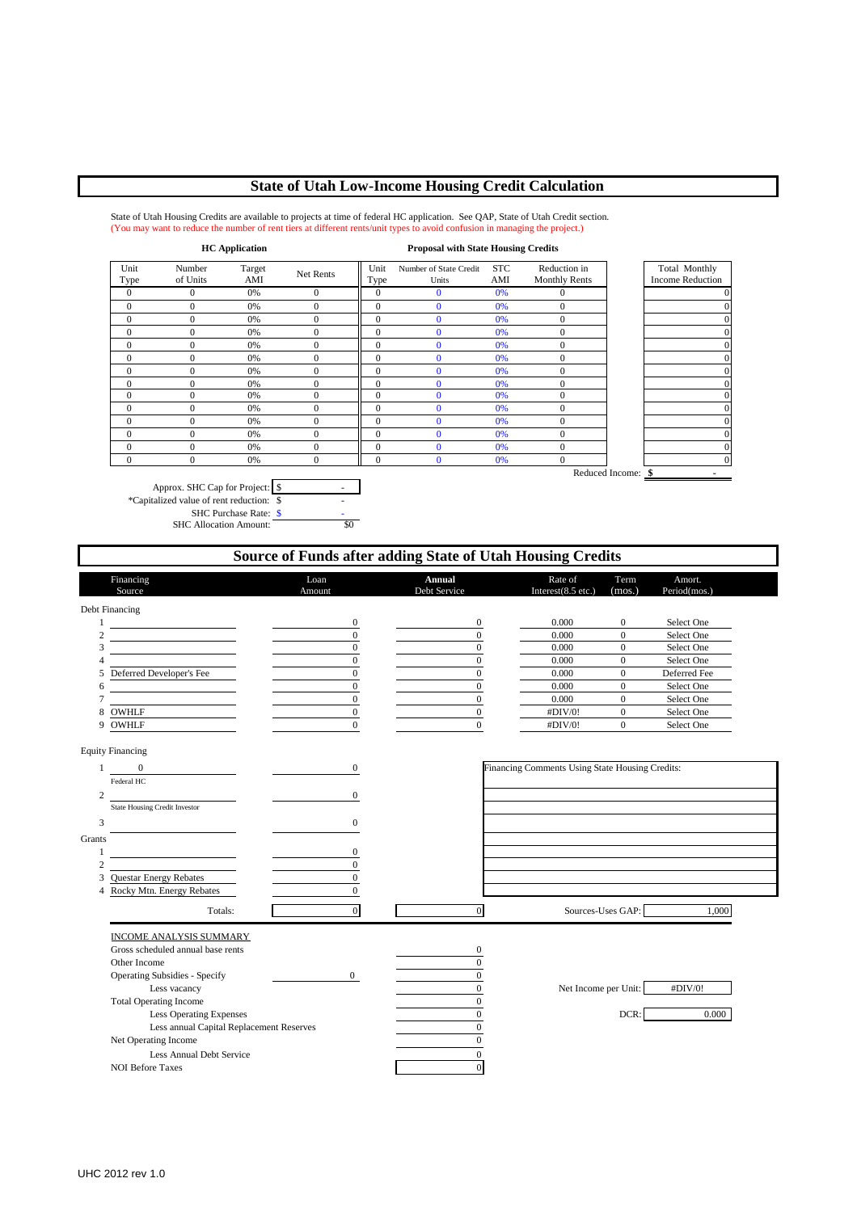## **State of Utah Low-Income Housing Credit Calculation**

State of Utah Housing Credits are available to projects at time of federal HC application. See QAP, State of Utah Credit section. (You may want to reduce the number of rent tiers at different rents/unit types to avoid confusion in managing the project.)

| <b>HC</b> Application |                    |               |              |                | <b>Proposal with State Housing Credits</b> |                   |                                      |                    |                                          |
|-----------------------|--------------------|---------------|--------------|----------------|--------------------------------------------|-------------------|--------------------------------------|--------------------|------------------------------------------|
| Unit<br>Type          | Number<br>of Units | Target<br>AMI | Net Rents    | Unit<br>Type   | Number of State Credit<br>Units            | <b>STC</b><br>AMI | Reduction in<br><b>Monthly Rents</b> |                    | Total Monthly<br><b>Income Reduction</b> |
| $\mathbf{0}$          | 0                  | 0%            | $\mathbf{0}$ | $\mathbf{0}$   | $\bf{0}$                                   | 0%                | 0                                    |                    |                                          |
| $\mathbf{0}$          | $\mathbf{0}$       | 0%            | $\mathbf{0}$ | $\overline{0}$ | $\Omega$                                   | 0%                | $\mathbf{0}$                         |                    |                                          |
| $\overline{0}$        | $\Omega$           | 0%            | $\mathbf{0}$ | $\overline{0}$ | $\Omega$                                   | 0%                | $\mathbf{0}$                         |                    |                                          |
| $\theta$              | 0                  | 0%            | $\mathbf{0}$ | $\overline{0}$ | $\Omega$                                   | 0%                | $\mathbf{0}$                         |                    |                                          |
| $\overline{0}$        | $\Omega$           | 0%            | $\Omega$     | $\theta$       | $\Omega$                                   | 0%                | $\mathbf{0}$                         |                    |                                          |
| 0                     | 0                  | 0%            | $\mathbf{0}$ | $\overline{0}$ | $\Omega$                                   | 0%                | $\mathbf{0}$                         |                    |                                          |
| $\overline{0}$        | $\Omega$           | 0%            | $\mathbf{0}$ | $\Omega$       | $\Omega$                                   | 0%                | 0                                    |                    |                                          |
| $\overline{0}$        | $\theta$           | 0%            | $\theta$     | $\theta$       | $\Omega$                                   | 0%                | $\mathbf{0}$                         |                    |                                          |
| $\overline{0}$        | $\theta$           | 0%            | $\mathbf{0}$ | $\overline{0}$ | $\Omega$                                   | 0%                | $\mathbf{0}$                         |                    |                                          |
| $\overline{0}$        | 0                  | 0%            | $\mathbf{0}$ | $\overline{0}$ | $\Omega$                                   | 0%                | $\mathbf{0}$                         |                    |                                          |
| $\mathbf{0}$          | $\Omega$           | 0%            | $\mathbf{0}$ | $\overline{0}$ | $\Omega$                                   | 0%                | $\mathbf{0}$                         |                    |                                          |
| $\overline{0}$        | $\Omega$           | 0%            | $\mathbf{0}$ | $\mathbf{0}$   | $\mathbf{0}$                               | 0%                | 0                                    |                    |                                          |
| $\overline{0}$        | $\Omega$           | 0%            | $\mathbf{0}$ | $\overline{0}$ | $\mathbf{0}$                               | 0%                | $\mathbf{0}$                         |                    |                                          |
| $\theta$              | $\Omega$           | 0%            | $\mathbf{0}$ | $\Omega$       | $\mathbf{0}$                               | 0%                | $\overline{0}$                       |                    |                                          |
|                       |                    |               |              |                |                                            |                   |                                      | Reduced Income: \$ |                                          |

Approx. SHC Cap for Project: \$ \*Capitalized value of rent reduction:  $\overline{\$}$ SHC Purchase Rate:  $\frac{\$}{\$}$ SHC Allocation Amount:

Financing **Annual Rate of Term** Amort. **Loan Annual Rate of Term** Amort. Source **Amount** Debt Service Interest(8.5 etc.) (mos.) Period(mos.) Debt Financing  $1$  0 0 0.000 0 Select One  $2$  0 0 0.000 0 Select One  $\begin{array}{ccccccc} 3 & 0 & 0 & 0 & 0 & 0 \end{array}$  Select One 4 0 0 0 0 0 0 0 Select One 5 Deferred Developer's Fee 0 0 0 0 0 0 0 0 0 Deferred Fee  $\begin{array}{ccccccc} 6 & 0 & 0 & 0 & 0 & 0 \end{array}$  Select One  $7$  0 0 0.000 0 Select One 8 OWHLF 0 5elect One 0  $\uparrow$  5elect One 0  $\uparrow$  5elect One 9 OWHLF 0  $\qquad \qquad 0$  0  $\qquad \qquad$   $\qquad \qquad 0$   $\qquad \qquad$   $\qquad \qquad 0$  Select One Equity Financing 1 0 0 0 0 **Financing Comments Using State Housing Credits:** Federal HC 2 0 State Housing Credit Investor  $3 \t\t 0$ Grants 1 0 2 0 3 Questar Energy Rebates 0 4 Rocky Mtn. Energy Rebates Totals: 0 0 Sources-Uses GAP: 1,000 INCOME ANALYSIS SUMMARY Gross scheduled annual base rents 0 Other Income 0 Operating Subsidies - Specify 0 0 Less vacancy **1** Net Income per Unit:  $\frac{H\text{DIV}}{0}$  Net Income per Unit:  $\frac{H\text{DIV}}{0}$ Total Operating Income 0 Less Operating Expenses 0 DCR: 0.000 Less annual Capital Replacement Reserves 0 Net Operating Income 0 Less Annual Debt Service 0<br>
ore Taxes 0 NOI Before Taxes **Source of Funds after adding State of Utah Housing Credits**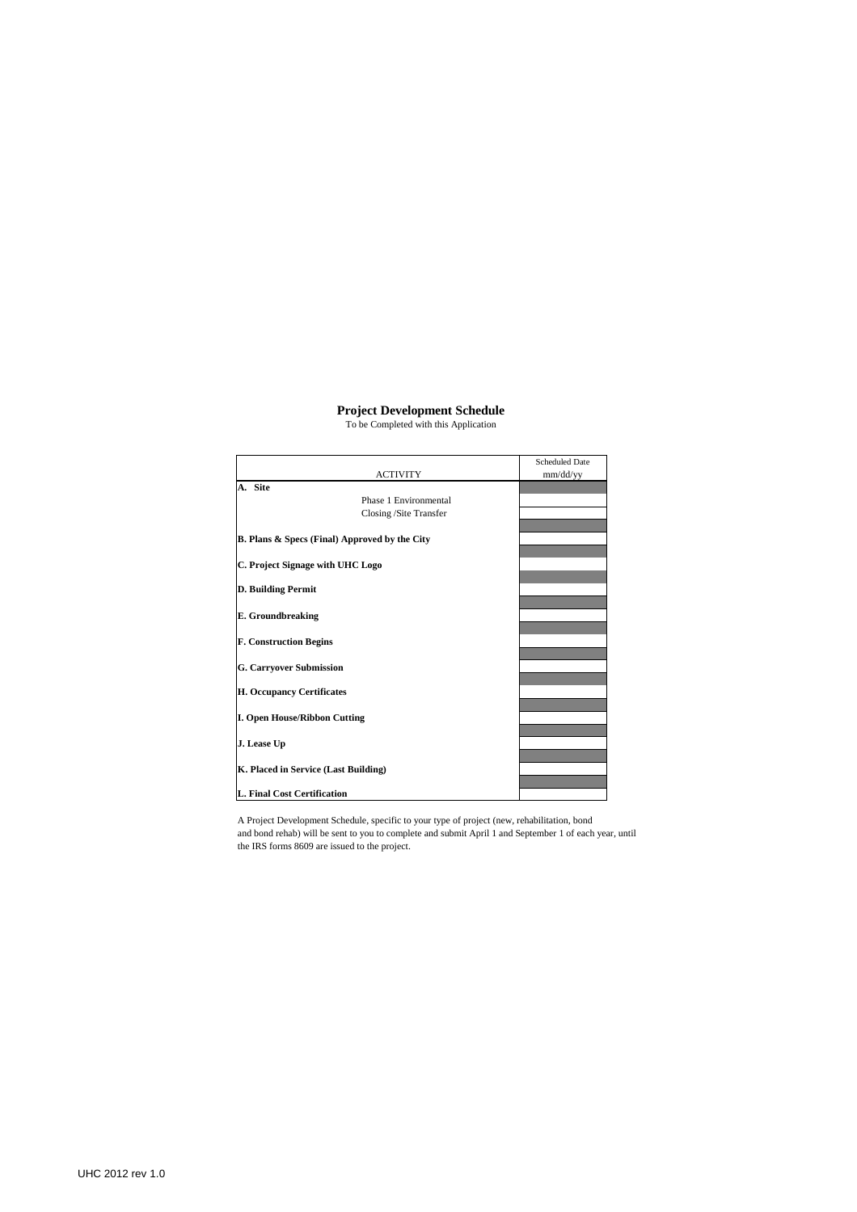### **Project Development Schedule**

To be Completed with this Application

|                                                          | <b>Scheduled Date</b> |
|----------------------------------------------------------|-----------------------|
| <b>ACTIVITY</b>                                          | mm/dd/yy              |
| A. Site                                                  |                       |
| Phase 1 Environmental                                    |                       |
| Closing /Site Transfer                                   |                       |
|                                                          |                       |
| <b>B. Plans &amp; Specs (Final) Approved by the City</b> |                       |
|                                                          |                       |
| C. Project Signage with UHC Logo                         |                       |
|                                                          |                       |
| <b>D. Building Permit</b>                                |                       |
|                                                          |                       |
| <b>E.</b> Groundbreaking                                 |                       |
|                                                          |                       |
| <b>F. Construction Begins</b>                            |                       |
|                                                          |                       |
| <b>G. Carryover Submission</b>                           |                       |
|                                                          |                       |
| H. Occupancy Certificates                                |                       |
|                                                          |                       |
| <b>I. Open House/Ribbon Cutting</b>                      |                       |
|                                                          |                       |
| J. Lease Up                                              |                       |
|                                                          |                       |
|                                                          |                       |
| K. Placed in Service (Last Building)                     |                       |
|                                                          |                       |
| L. Final Cost Certification                              |                       |

A Project Development Schedule, specific to your type of project (new, rehabilitation, bond and bond rehab) will be sent to you to complete and submit April 1 and September 1 of each year, until the IRS forms 8609 are issued to the project.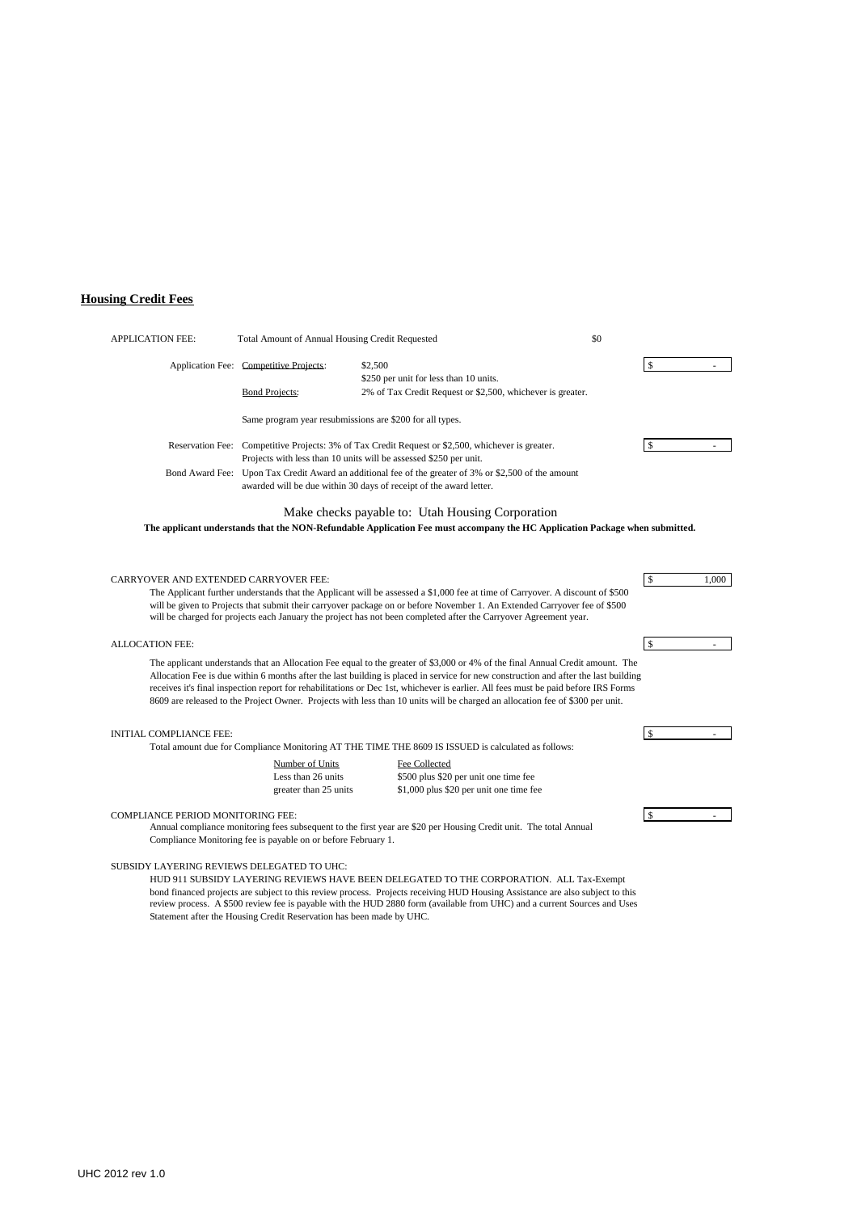## **Housing Credit Fees**

| <b>APPLICATION FEE:</b>                      | \$0<br>Total Amount of Annual Housing Credit Requested                                                                                                                      |                                                                                                                                                                                                                                                                                                                                                                                                                                                                                                                                             |               |              |       |
|----------------------------------------------|-----------------------------------------------------------------------------------------------------------------------------------------------------------------------------|---------------------------------------------------------------------------------------------------------------------------------------------------------------------------------------------------------------------------------------------------------------------------------------------------------------------------------------------------------------------------------------------------------------------------------------------------------------------------------------------------------------------------------------------|---------------|--------------|-------|
|                                              | Application Fee: Competitive Projects:                                                                                                                                      | \$2,500<br>\$250 per unit for less than 10 units.                                                                                                                                                                                                                                                                                                                                                                                                                                                                                           |               | \$           |       |
|                                              | <b>Bond Projects:</b>                                                                                                                                                       | 2% of Tax Credit Request or \$2,500, whichever is greater.                                                                                                                                                                                                                                                                                                                                                                                                                                                                                  |               |              |       |
|                                              | Same program year resubmissions are \$200 for all types.                                                                                                                    |                                                                                                                                                                                                                                                                                                                                                                                                                                                                                                                                             |               |              |       |
|                                              | Reservation Fee: Competitive Projects: 3% of Tax Credit Request or \$2,500, whichever is greater.<br>Projects with less than 10 units will be assessed \$250 per unit.      |                                                                                                                                                                                                                                                                                                                                                                                                                                                                                                                                             | $\mathcal{S}$ |              |       |
|                                              | Bond Award Fee: Upon Tax Credit Award an additional fee of the greater of 3% or \$2,500 of the amount<br>awarded will be due within 30 days of receipt of the award letter. |                                                                                                                                                                                                                                                                                                                                                                                                                                                                                                                                             |               |              |       |
|                                              |                                                                                                                                                                             | Make checks payable to: Utah Housing Corporation<br>The applicant understands that the NON-Refundable Application Fee must accompany the HC Application Package when submitted.                                                                                                                                                                                                                                                                                                                                                             |               |              |       |
| <b>CARRYOVER AND EXTENDED CARRYOVER FEE:</b> |                                                                                                                                                                             | The Applicant further understands that the Applicant will be assessed a \$1,000 fee at time of Carryover. A discount of \$500<br>will be given to Projects that submit their carryover package on or before November 1. An Extended Carryover fee of \$500<br>will be charged for projects each January the project has not been completed after the Carryover Agreement year.                                                                                                                                                              |               | $\sqrt{5}$   | 1.000 |
| <b>ALLOCATION FEE:</b>                       |                                                                                                                                                                             |                                                                                                                                                                                                                                                                                                                                                                                                                                                                                                                                             |               | $\mathbf S$  |       |
|                                              |                                                                                                                                                                             | The applicant understands that an Allocation Fee equal to the greater of \$3,000 or 4% of the final Annual Credit amount. The<br>Allocation Fee is due within 6 months after the last building is placed in service for new construction and after the last building<br>receives it's final inspection report for rehabilitations or Dec 1st, whichever is earlier. All fees must be paid before IRS Forms<br>8609 are released to the Project Owner. Projects with less than 10 units will be charged an allocation fee of \$300 per unit. |               |              |       |
| <b>INITIAL COMPLIANCE FEE:</b>               |                                                                                                                                                                             |                                                                                                                                                                                                                                                                                                                                                                                                                                                                                                                                             |               | $\mathbf{s}$ |       |
|                                              |                                                                                                                                                                             | Total amount due for Compliance Monitoring AT THE TIME THE 8609 IS ISSUED is calculated as follows:                                                                                                                                                                                                                                                                                                                                                                                                                                         |               |              |       |
|                                              | Number of Units<br>Less than 26 units                                                                                                                                       | Fee Collected<br>\$500 plus \$20 per unit one time fee                                                                                                                                                                                                                                                                                                                                                                                                                                                                                      |               |              |       |
|                                              | greater than 25 units                                                                                                                                                       | \$1,000 plus \$20 per unit one time fee                                                                                                                                                                                                                                                                                                                                                                                                                                                                                                     |               |              |       |
| <b>COMPLIANCE PERIOD MONITORING FEE:</b>     |                                                                                                                                                                             |                                                                                                                                                                                                                                                                                                                                                                                                                                                                                                                                             | $\mathcal{S}$ |              |       |
|                                              | Compliance Monitoring fee is payable on or before February 1.                                                                                                               | Annual compliance monitoring fees subsequent to the first year are \$20 per Housing Credit unit. The total Annual                                                                                                                                                                                                                                                                                                                                                                                                                           |               |              |       |

### SUBSIDY LAYERING REVIEWS DELEGATED TO UHC:

HUD 911 SUBSIDY LAYERING REVIEWS HAVE BEEN DELEGATED TO THE CORPORATION. ALL Tax-Exempt bond financed projects are subject to this review process. Projects receiving HUD Housing Assistance are also subject to this review process. A \$500 review fee is payable with the HUD 2880 form (available from UHC) and a current Sources and Uses Statement after the Housing Credit Reservation has been made by UHC.